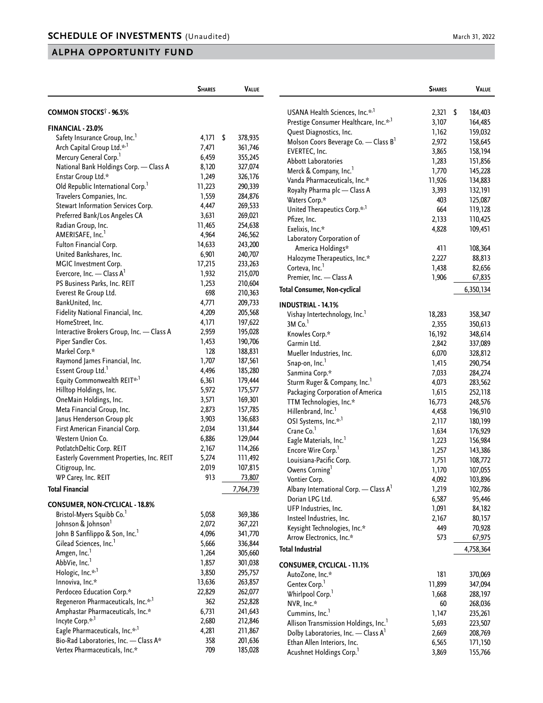|                                            | <b>SHARES</b> | <b>VALUE</b>  |                                                     | <b>SHARES</b> | VALUE     |
|--------------------------------------------|---------------|---------------|-----------------------------------------------------|---------------|-----------|
| COMMON STOCKS <sup>†</sup> - 96.5%         |               |               | USANA Health Sciences, Inc.* <sup>,1</sup>          | $2,321$ \$    | 184,403   |
|                                            |               |               | Prestige Consumer Healthcare, Inc.*,1               | 3,107         | 164,485   |
| FINANCIAL - 23.0%                          |               |               | Quest Diagnostics, Inc.                             | 1,162         | 159,032   |
| Safety Insurance Group, Inc. <sup>1</sup>  | 4,171         | \$<br>378,935 | Molson Coors Beverage Co. - Class B <sup>1</sup>    | 2,972         | 158,645   |
| Arch Capital Group Ltd.* <sup>,1</sup>     | 7,471         | 361,746       | EVERTEC, Inc.                                       | 3,865         | 158,194   |
| Mercury General Corp. <sup>1</sup>         | 6,459         | 355,245       | <b>Abbott Laboratories</b>                          | 1,283         | 151,856   |
| National Bank Holdings Corp. - Class A     | 8,120         | 327,074       | Merck & Company, Inc. <sup>1</sup>                  | 1,770         | 145,228   |
| Enstar Group Ltd.*                         | 1,249         | 326,176       | Vanda Pharmaceuticals, Inc.*                        | 11,926        | 134,883   |
| Old Republic International Corp.           | 11,223        | 290,339       | Royalty Pharma plc - Class A                        | 3,393         | 132,191   |
| Travelers Companies, Inc.                  | 1,559         | 284,876       | Waters Corp.*                                       | 403           | 125,087   |
| Stewart Information Services Corp.         | 4,447         | 269,533       | United Therapeutics Corp.* <sup>1</sup>             | 664           | 119,128   |
| Preferred Bank/Los Angeles CA              | 3,631         | 269,021       | Pfizer, Inc.                                        | 2,133         | 110,425   |
| Radian Group, Inc.                         | 11,465        | 254,638       | Exelixis, Inc.*                                     | 4,828         | 109,451   |
| AMERISAFE, Inc. <sup>1</sup>               | 4,964         | 246,562       | Laboratory Corporation of                           |               |           |
| Fulton Financial Corp.                     | 14,633        | 243,200       | America Holdings*                                   | 411           | 108,364   |
| United Bankshares, Inc.                    | 6,901         | 240,707       | Halozyme Therapeutics, Inc.*                        | 2,227         | 88,813    |
| MGIC Investment Corp.                      | 17,215        | 233,263       | Corteva, Inc. <sup>1</sup>                          | 1,438         | 82,656    |
| Evercore, Inc. - Class $A^1$               | 1,932         | 215,070       | Premier, Inc. - Class A                             | 1,906         | 67,835    |
| PS Business Parks, Inc. REIT               | 1,253         | 210,604       | <b>Total Consumer, Non-cyclical</b>                 |               | 6,350,134 |
| Everest Re Group Ltd.                      | 698           | 210,363       |                                                     |               |           |
| BankUnited, Inc.                           | 4,771         | 209,733       | <b>INDUSTRIAL - 14.1%</b>                           |               |           |
| Fidelity National Financial, Inc.          | 4,209         | 205,568       | Vishay Intertechnology, Inc. <sup>1</sup>           | 18,283        | 358,347   |
| HomeStreet, Inc.                           | 4,171         | 197,622       | $3M$ Co. $1$                                        | 2,355         | 350,613   |
| Interactive Brokers Group, Inc. - Class A  | 2,959         | 195,028       | Knowles Corp.*                                      | 16,192        | 348,614   |
| Piper Sandler Cos.                         | 1,453         | 190,706       | Garmin Ltd.                                         | 2,842         | 337,089   |
| Markel Corp.*                              | 128           | 188,831       | Mueller Industries, Inc.                            | 6,070         | 328,812   |
| Raymond James Financial, Inc.              | 1,707         | 187,561       | Snap-on, Inc. <sup>1</sup>                          | 1,415         | 290,754   |
| Essent Group Ltd. <sup>1</sup>             | 4,496         | 185,280       | Sanmina Corp.*                                      | 7,033         | 284,274   |
| Equity Commonwealth REIT*,1                | 6,361         | 179,444       | Sturm Ruger & Company, Inc. <sup>1</sup>            | 4,073         | 283,562   |
| Hilltop Holdings, Inc.                     | 5,972         | 175,577       | Packaging Corporation of America                    | 1,615         | 252,118   |
| OneMain Holdings, Inc.                     | 3,571         | 169,301       | TTM Technologies, Inc.*                             | 16,773        | 248,576   |
| Meta Financial Group, Inc.                 | 2,873         | 157,785       | Hillenbrand, Inc. <sup>1</sup>                      | 4,458         | 196,910   |
| Janus Henderson Group plc                  | 3,903         | 136,683       | OSI Systems, Inc.* <sup>,1</sup>                    | 2,117         | 180,199   |
| First American Financial Corp.             | 2,034         | 131,844       | Crane Co. <sup>1</sup>                              | 1,634         | 176,929   |
| Western Union Co.                          | 6,886         | 129,044       | Eagle Materials, Inc. <sup>1</sup>                  | 1,223         | 156,984   |
| PotlatchDeltic Corp. REIT                  | 2,167         | 114,266       | Encore Wire Corp. <sup>1</sup>                      | 1,257         | 143,386   |
| Easterly Government Properties, Inc. REIT  | 5,274         | 111,492       | Louisiana-Pacific Corp.                             | 1,751         | 108,772   |
| Citigroup, Inc.                            | 2,019         | 107,815       | Owens Corning <sup>1</sup>                          | 1,170         | 107,055   |
| WP Carey, Inc. REIT                        | 913           | 73,807        | Vontier Corp.                                       | 4,092         | 103,896   |
| <b>Total Financial</b>                     |               | 7,764,739     | Albany International Corp. $-$ Class A <sup>1</sup> | 1,219         | 102,786   |
|                                            |               |               | Dorian LPG Ltd.                                     | 6,587         | 95,446    |
| <b>CONSUMER, NON-CYCLICAL - 18.8%</b>      |               |               | UFP Industries, Inc.                                | 1,091         | 84,182    |
| Bristol-Myers Squibb Co. <sup>1</sup>      | 5,058         | 369,386       | Insteel Industries, Inc.                            | 2,167         | 80,157    |
| Johnson & Johnson <sup>1</sup>             | 2,072         | 367,221       | Keysight Technologies, Inc.*                        | 449           | 70,928    |
| John B Sanfilippo & Son, Inc. <sup>1</sup> | 4,096         | 341,770       | Arrow Electronics, Inc.*                            | 573           | 67,975    |
| Gilead Sciences, Inc. <sup>1</sup>         | 5,666         | 336,844       | <b>Total Industrial</b>                             |               | 4,758,364 |
| Amgen, Inc. <sup>1</sup>                   | 1,264         | 305,660       |                                                     |               |           |
| AbbVie, Inc. <sup>1</sup>                  | 1,857         | 301,038       | <b>CONSUMER, CYCLICAL - 11.1%</b>                   |               |           |
| Hologic, Inc.* <sup>,1</sup>               | 3,850         | 295,757       | AutoZone, Inc.*                                     | 181           | 370,069   |
| Innoviva, Inc.*                            | 13,636        | 263,857       | Gentex Corp. <sup>1</sup>                           | 11,899        | 347,094   |
| Perdoceo Education Corp.*                  | 22,829        | 262,077       | Whirlpool Corp.                                     | 1,668         | 288,197   |
| Regeneron Pharmaceuticals, Inc.*,1         | 362           | 252,828       | NVR, Inc.*                                          | 60            | 268,036   |
| Amphastar Pharmaceuticals, Inc.*           | 6,731         | 241,643       | Cummins, Inc. <sup>1</sup>                          | 1,147         | 235,261   |
| Incyte Corp.* <sup>,1</sup>                | 2,680         | 212,846       | Allison Transmission Holdings, Inc. <sup>1</sup>    | 5,693         | 223,507   |
| Eagle Pharmaceuticals, Inc.* <sup>,1</sup> | 4,281         | 211,867       | Dolby Laboratories, Inc. - Class A <sup>1</sup>     | 2,669         | 208,769   |
| Bio-Rad Laboratories, Inc. - Class A*      | 358           | 201,636       | Ethan Allen Interiors, Inc.                         | 6,565         | 171,150   |
| Vertex Pharmaceuticals, Inc.*              | 709           | 185,028       | Acushnet Holdings Corp. <sup>1</sup>                | 3,869         | 155,766   |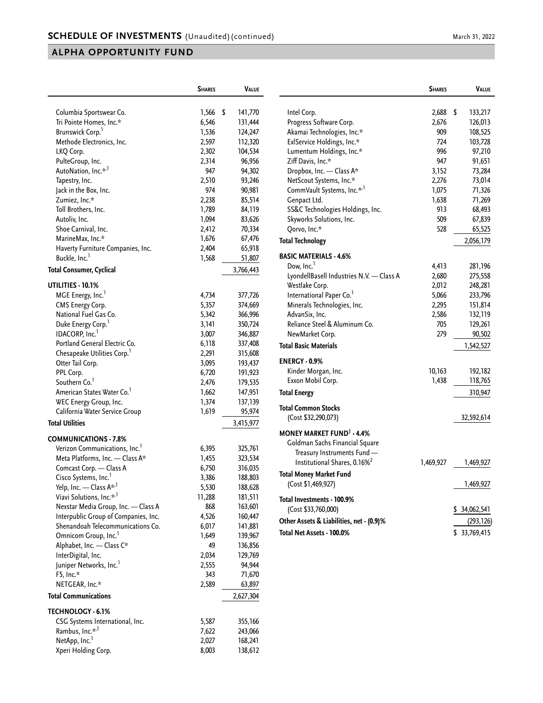|                                         | <b>SHARES</b> | VALUE         |
|-----------------------------------------|---------------|---------------|
|                                         |               |               |
| Columbia Sportswear Co.                 | 1,566         | \$<br>141,770 |
| Tri Pointe Homes, Inc.*                 | 6,546         | 131,444       |
| Brunswick Corp. <sup>1</sup>            | 1,536         | 124,247       |
| Methode Electronics, Inc.               | 2,597         | 112,320       |
| LKQ Corp.                               | 2,302         | 104,534       |
| PulteGroup, Inc.                        | 2,314         | 96,956        |
| AutoNation, Inc.* <sup>,1</sup>         | 947           | 94,302        |
| Tapestry, Inc.                          | 2,510         | 93,246        |
| Jack in the Box, Inc.                   | 974           | 90,981        |
| Zumiez, Inc.*                           | 2,238         | 85,514        |
| Toll Brothers, Inc.                     | 1,789         | 84,119        |
| Autoliv, Inc.                           | 1,094         | 83,626        |
| Shoe Carnival, Inc.                     | 2,412         | 70,334        |
| MarineMax, Inc.*                        | 1,676         | 67,476        |
| Haverty Furniture Companies, Inc.       | 2,404         | 65,918        |
| Buckle, Inc. <sup>1</sup>               | 1,568         | 51,807        |
| Total Consumer, Cyclical                |               | 3,766,443     |
|                                         |               |               |
| UTILITIES - 10.1%                       |               |               |
| MGE Energy, Inc.                        | 4,734         | 377,726       |
| CMS Energy Corp.                        | 5,357         | 374,669       |
| National Fuel Gas Co.                   | 5,342         | 366,996       |
| Duke Energy Corp. <sup>1</sup>          | 3,141         | 350,724       |
| IDACORP, Inc. <sup>1</sup>              | 3,007         | 346,887       |
| Portland General Electric Co.           | 6,118         | 337,408       |
| Chesapeake Utilities Corp. <sup>1</sup> | 2,291         | 315,608       |
| Otter Tail Corp.                        | 3,095         | 193,437       |
| PPL Corp.                               | 6,720         | 191,923       |
| Southern Co.                            | 2,476         | 179,535       |
| American States Water Co.               | 1,662         | 147,951       |
| WEC Energy Group, Inc.                  | 1,374         | 137,139       |
| California Water Service Group          | 1,619         | 95,974        |
| <b>Total Utilities</b>                  |               | 3,415,977     |
| <b>COMMUNICATIONS - 7.8%</b>            |               |               |
| Verizon Communications, Inc.            | 6,395         | 325,761       |
| Meta Platforms, Inc. - Class A*         | 1,455         | 323,534       |
| Comcast Corp. - Class A                 | 6,750         | 316,035       |
| Cisco Systems, Inc. <sup>1</sup>        | 3,386         | 188,803       |
| Yelp, Inc. - Class A* <sup>, 1</sup>    | 5,530         | 188,628       |
| Viavi Solutions, Inc.* <sup>,1</sup>    | 11,288        | 181,511       |
| Nexstar Media Group, Inc. - Class A     | 868           | 163,601       |
| Interpublic Group of Companies, Inc.    | 4,526         | 160,447       |
| Shenandoah Telecommunications Co.       | 6,017         | 141,881       |
| Omnicom Group, Inc. <sup>1</sup>        | 1,649         | 139,967       |
| Alphabet, Inc. - Class C*               | 49            | 136,856       |
| InterDigital, Inc.                      | 2,034         | 129,769       |
| Juniper Networks, Inc. <sup>1</sup>     | 2,555         | 94,944        |
| F5, Inc.*                               | 343           | 71,670        |
| NETGEAR, Inc.*                          | 2,589         | 63,897        |
| <b>Total Communications</b>             |               | 2,627,304     |
| <b>TECHNOLOGY - 6.1%</b>                |               |               |
| CSG Systems International, Inc.         | 5,587         | 355,166       |
| Rambus, Inc.* <sup>,1</sup>             | 7,622         | 243,066       |
| NetApp, Inc. <sup>1</sup>               | 2,027         | 168,241       |
| Xperi Holding Corp.                     | 8,003         | 138,612       |
|                                         |               |               |

|                                             | <b>SHARES</b> | VALUE            |
|---------------------------------------------|---------------|------------------|
| Intel Corp.                                 | 2,688         | \$<br>133,217    |
| Progress Software Corp.                     | 2,676         | 126,013          |
| Akamai Technologies, Inc.*                  | 909           | 108,525          |
| ExlService Holdings, Inc.*                  | 724           | 103,728          |
| Lumentum Holdings, Inc.*                    | 996           | 97,210           |
| Ziff Davis, Inc.*                           | 947           | 91,651           |
| Dropbox, Inc. - Class A*                    | 3,152         | 73,284           |
| NetScout Systems, Inc.*                     | 2,276         | 73,014           |
| CommVault Systems, Inc.* <sup>,1</sup>      | 1,075         | 71,326           |
| Genpact Ltd.                                | 1,638         | 71,269           |
| SS&C Technologies Holdings, Inc.            | 913           | 68,493           |
| Skyworks Solutions, Inc.                    | 509           | 67,839           |
| Qorvo, Inc.*                                | 528           | 65,525           |
| <b>Total Technology</b>                     |               | 2,056,179        |
| <b>BASIC MATERIALS - 4.6%</b>               |               |                  |
| Dow, Inc.                                   | 4,413         | 281,196          |
| LyondellBasell Industries N.V. - Class A    | 2,680         | 275,558          |
| Westlake Corp.                              | 2,012         | 248,281          |
| International Paper Co.'                    | 5,066         | 233,796          |
| Minerals Technologies, Inc.                 | 2,295         | 151,814          |
| AdvanSix, Inc.                              | 2,586         | 132,119          |
| Reliance Steel & Aluminum Co.               | 705           | 129,261          |
| NewMarket Corp.                             | 279           | 90,502           |
| <b>Total Basic Materials</b>                |               | 1,542,527        |
|                                             |               |                  |
| <b>ENERGY - 0.9%</b>                        |               |                  |
| Kinder Morgan, Inc.                         | 10,163        | 192,182          |
| Exxon Mobil Corp.                           | 1,438         | 118,765          |
| <b>Total Energy</b>                         |               | 310,947          |
| <b>Total Common Stocks</b>                  |               |                  |
| (Cost \$32,290,073)                         |               | 32,592,614       |
| <b>MONEY MARKET FUND<sup>®</sup> - 4.4%</b> |               |                  |
| Goldman Sachs Financial Square              |               |                  |
| Treasury Instruments Fund                   |               |                  |
| Institutional Shares, 0.16% <sup>2</sup>    | 1,469,927     | 1,469,927        |
| <b>Total Money Market Fund</b>              |               |                  |
| (Cost \$1,469,927)                          |               | 1,469,927        |
| Total Investments - 100.9%                  |               |                  |
| (Cost \$33,760,000)                         |               | 34,062,541<br>S  |
| Other Assets & Liabilities, net - (0.9)%    |               | (293, 126)       |
| Total Net Assets - 100.0%                   |               | \$<br>33,769,415 |
|                                             |               |                  |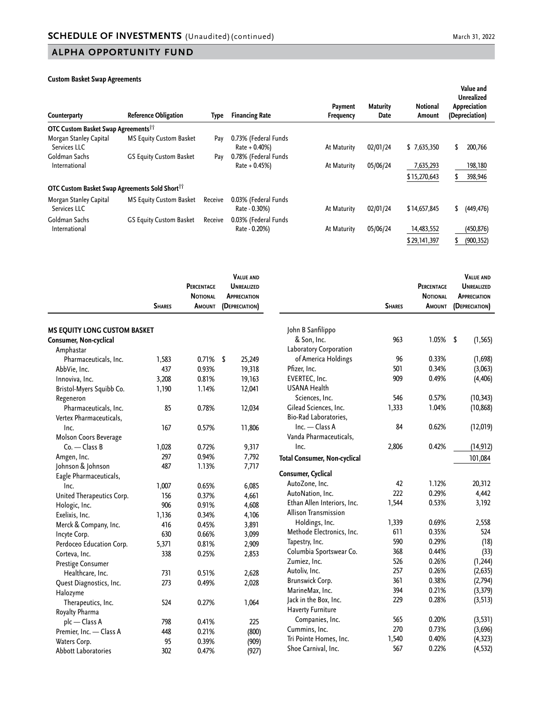#### **Custom Basket Swap Agreements**

| Counterparty                                                      | <b>Reference Obligation</b>    | Type    | <b>Financing Rate</b>                    | Payment<br>Frequency | <b>Maturity</b><br>Date | <b>Notional</b><br>Amount | Value and<br><b>Unrealized</b><br>Appreciation<br>(Depreciation) |
|-------------------------------------------------------------------|--------------------------------|---------|------------------------------------------|----------------------|-------------------------|---------------------------|------------------------------------------------------------------|
| <b>OTC Custom Basket Swap Agreements</b> <sup>11</sup>            |                                |         |                                          |                      |                         |                           |                                                                  |
| Morgan Stanley Capital<br>Services LLC                            | <b>MS Equity Custom Basket</b> | Pay     | 0.73% (Federal Funds<br>$Rate + 0.40\%)$ | At Maturity          | 02/01/24                | \$7,635,350               | 200,766<br>\$.                                                   |
| Goldman Sachs<br>International                                    | <b>GS Equity Custom Basket</b> | Pay     | 0.78% (Federal Funds<br>$Rate + 0.45%$   | At Maturity          | 05/06/24                | 7,635,293                 | 198,180                                                          |
| <b>OTC Custom Basket Swap Agreements Sold Short</b> <sup>11</sup> |                                |         |                                          |                      |                         | \$15,270,643              | 398,946<br>S.                                                    |
| Morgan Stanley Capital<br>Services LLC                            | <b>MS Equity Custom Basket</b> | Receive | 0.03% (Federal Funds<br>Rate - 0.30%)    | At Maturity          | 02/01/24                | \$14,657,845              | (449, 476)<br>\$                                                 |
| Goldman Sachs<br>International                                    | <b>GS Equity Custom Basket</b> | Receive | 0.03% (Federal Funds<br>Rate - 0.20%)    | At Maturity          | 05/06/24                | 14,483,552                | (450, 876)                                                       |
|                                                                   |                                |         |                                          |                      |                         | \$29,141,397              | (900, 352)<br>S.                                                 |

|                                     | <b>SHARES</b> | <b>PERCENTAGE</b><br><b>NOTIONAL</b><br><b>AMOUNT</b> | <b>VALUE AND</b><br><b>UNREALIZED</b><br><b>APPRECIATION</b><br>(DEPRECIATION) |                                     | <b>SHARES</b> | <b>PERCENTAGE</b><br><b>NOTIONAL</b><br><b>AMOUNT</b> | <b>VALUE AND</b><br><b>UNREALIZED</b><br><b>APPRECIATION</b><br>(DEPRECIATION) |
|-------------------------------------|---------------|-------------------------------------------------------|--------------------------------------------------------------------------------|-------------------------------------|---------------|-------------------------------------------------------|--------------------------------------------------------------------------------|
| <b>MS EQUITY LONG CUSTOM BASKET</b> |               |                                                       |                                                                                | John B Sanfilippo                   |               |                                                       |                                                                                |
| Consumer, Non-cyclical              |               |                                                       |                                                                                | & Son, Inc.                         | 963           | $1.05\%$ \$                                           | (1, 565)                                                                       |
| Amphastar                           |               |                                                       |                                                                                | Laboratory Corporation              |               |                                                       |                                                                                |
| Pharmaceuticals, Inc.               | 1,583         | 0.71%                                                 | \$<br>25,249                                                                   | of America Holdings                 | 96            | 0.33%                                                 | (1,698)                                                                        |
| AbbVie, Inc.                        | 437           | 0.93%                                                 | 19,318                                                                         | Pfizer, Inc.                        | 501           | 0.34%                                                 | (3,063)                                                                        |
| Innoviva, Inc.                      | 3,208         | 0.81%                                                 | 19,163                                                                         | EVERTEC, Inc.                       | 909           | 0.49%                                                 | (4, 406)                                                                       |
| Bristol-Myers Squibb Co.            | 1,190         | 1.14%                                                 | 12,041                                                                         | <b>USANA Health</b>                 |               |                                                       |                                                                                |
| Regeneron                           |               |                                                       |                                                                                | Sciences, Inc.                      | 546           | 0.57%                                                 | (10, 343)                                                                      |
| Pharmaceuticals, Inc.               | 85            | 0.78%                                                 | 12,034                                                                         | Gilead Sciences, Inc.               | 1,333         | 1.04%                                                 | (10, 868)                                                                      |
| Vertex Pharmaceuticals,             |               |                                                       |                                                                                | Bio-Rad Laboratories.               |               |                                                       |                                                                                |
| Inc.                                | 167           | 0.57%                                                 | 11,806                                                                         | $Inc. - Class A$                    | 84            | 0.62%                                                 | (12, 019)                                                                      |
| Molson Coors Beverage               |               |                                                       |                                                                                | Vanda Pharmaceuticals,              |               |                                                       |                                                                                |
| $Co.$ - Class B                     | 1,028         | 0.72%                                                 | 9,317                                                                          | Inc.                                | 2,806         | 0.42%                                                 | (14, 912)                                                                      |
| Amgen, Inc.                         | 297           | 0.94%                                                 | 7,792                                                                          | <b>Total Consumer, Non-cyclical</b> |               |                                                       | 101,084                                                                        |
| Johnson & Johnson                   | 487           | 1.13%                                                 | 7,717                                                                          |                                     |               |                                                       |                                                                                |
| Eagle Pharmaceuticals,              |               |                                                       |                                                                                | Consumer, Cyclical                  |               |                                                       |                                                                                |
| Inc.                                | 1,007         | 0.65%                                                 | 6,085                                                                          | AutoZone, Inc.                      | 42            | 1.12%                                                 | 20,312                                                                         |
| United Therapeutics Corp.           | 156           | 0.37%                                                 | 4,661                                                                          | AutoNation, Inc.                    | 222           | 0.29%                                                 | 4,442                                                                          |
| Hologic, Inc.                       | 906           | 0.91%                                                 | 4,608                                                                          | Ethan Allen Interiors, Inc.         | 1,544         | 0.53%                                                 | 3,192                                                                          |
| Exelixis, Inc.                      | 1,136         | 0.34%                                                 | 4,106                                                                          | Allison Transmission                |               |                                                       |                                                                                |
| Merck & Company, Inc.               | 416           | 0.45%                                                 | 3,891                                                                          | Holdings, Inc.                      | 1,339         | 0.69%                                                 | 2,558                                                                          |
| Incyte Corp.                        | 630           | 0.66%                                                 | 3,099                                                                          | Methode Electronics, Inc.           | 611           | 0.35%                                                 | 524                                                                            |
| Perdoceo Education Corp.            | 5,371         | 0.81%                                                 | 2,909                                                                          | Tapestry, Inc.                      | 590           | 0.29%                                                 | (18)                                                                           |
| Corteva, Inc.                       | 338           | 0.25%                                                 | 2,853                                                                          | Columbia Sportswear Co.             | 368           | 0.44%                                                 | (33)                                                                           |
| Prestige Consumer                   |               |                                                       |                                                                                | Zumiez, Inc.                        | 526           | 0.26%                                                 | (1, 244)                                                                       |
| Healthcare, Inc.                    | 731           | 0.51%                                                 | 2,628                                                                          | Autoliv, Inc.                       | 257           | 0.26%                                                 | (2, 635)                                                                       |
| Quest Diagnostics, Inc.             | 273           | 0.49%                                                 | 2,028                                                                          | Brunswick Corp.                     | 361           | 0.38%                                                 | (2,794)                                                                        |
| Halozyme                            |               |                                                       |                                                                                | MarineMax, Inc.                     | 394           | 0.21%                                                 | (3, 379)                                                                       |
| Therapeutics, Inc.                  | 524           | 0.27%                                                 | 1,064                                                                          | Jack in the Box, Inc.               | 229           | 0.28%                                                 | (3, 513)                                                                       |
| Royalty Pharma                      |               |                                                       |                                                                                | <b>Haverty Furniture</b>            |               |                                                       |                                                                                |
| plc — Class A                       | 798           | 0.41%                                                 | 225                                                                            | Companies, Inc.                     | 565           | 0.20%                                                 | (3, 531)                                                                       |
| Premier, Inc. - Class A             | 448           | 0.21%                                                 | (800)                                                                          | Cummins, Inc.                       | 270           | 0.73%                                                 | (3,696)                                                                        |
| Waters Corp.                        | 95            | 0.39%                                                 | (909)                                                                          | Tri Pointe Homes, Inc.              | 1,540         | 0.40%                                                 | (4, 323)                                                                       |
| <b>Abbott Laboratories</b>          | 302           | 0.47%                                                 | (927)                                                                          | Shoe Carnival, Inc.                 | 567           | 0.22%                                                 | (4, 532)                                                                       |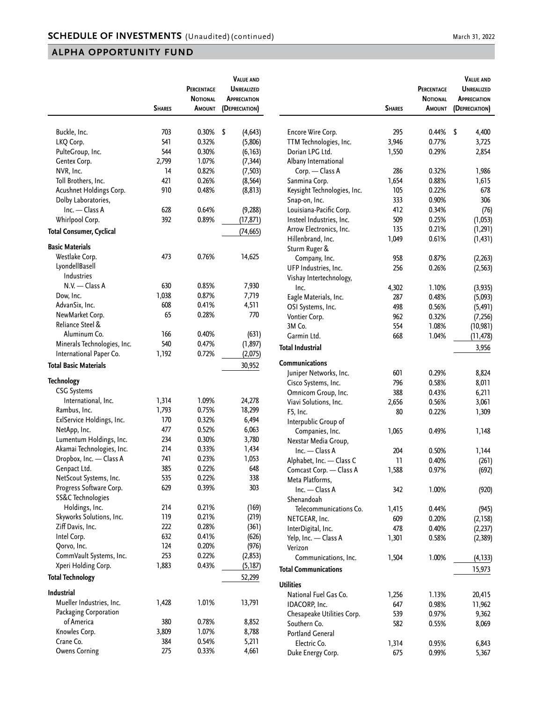|                                 |               | <b>PERCENTAGE</b> | <b>VALUE AND</b><br><b>UNREALIZED</b> |
|---------------------------------|---------------|-------------------|---------------------------------------|
|                                 |               | <b>NOTIONAL</b>   | <b>APPRECIATION</b>                   |
|                                 | <b>SHARES</b> | Amount            | (DEPRECIATION)                        |
|                                 |               |                   |                                       |
| Buckle, Inc.                    | 703           | 0.30%             | \$<br>(4, 643)                        |
| LKQ Corp.                       | 541           | 0.32%             | (5,806)                               |
| PulteGroup, Inc.                | 544           | 0.30%             | (6, 163)                              |
| Gentex Corp.                    | 2,799         | 1.07%             | (7, 344)                              |
| NVR, Inc.                       | 14            | 0.82%             | (7, 503)                              |
| Toll Brothers, Inc.             | 421           | 0.26%             | (8, 564)                              |
| Acushnet Holdings Corp.         | 910           | 0.48%             | (8, 813)                              |
| Dolby Laboratories,             |               |                   |                                       |
| Inc. - Class A                  | 628           | 0.64%             | (9,288)                               |
| Whirlpool Corp.                 | 392           | 0.89%             | (17, 871)                             |
| <b>Total Consumer, Cyclical</b> |               |                   | (74, 665)                             |
| <b>Basic Materials</b>          |               |                   |                                       |
| Westlake Corp.                  | 473           | 0.76%             | 14,625                                |
| LyondellBasell                  |               |                   |                                       |
| <b>Industries</b>               |               |                   |                                       |
| N.V. - Class A                  | 630           | 0.85%             | 7,930                                 |
| Dow, Inc.                       | 1,038         | 0.87%             | 7,719                                 |
| AdvanSix, Inc.                  | 608           | 0.41%             | 4,511                                 |
| NewMarket Corp.                 | 65            | 0.28%             | 770                                   |
| Reliance Steel &                |               |                   |                                       |
|                                 | 166           |                   |                                       |
| Aluminum Co.                    |               | 0.40%             | (631)                                 |
| Minerals Technologies, Inc.     | 540           | 0.47%             | (1, 897)                              |
| International Paper Co.         | 1,192         | 0.72%             | (2,075)                               |
| <b>Total Basic Materials</b>    |               |                   | 30,952                                |
| <b>Technology</b>               |               |                   |                                       |
| <b>CSG Systems</b>              |               |                   |                                       |
| International, Inc.             | 1,314         | 1.09%             | 24,278                                |
| Rambus, Inc.                    | 1,793         | 0.75%             | 18,299                                |
| ExlService Holdings, Inc.       | 170           | 0.32%             | 6,494                                 |
| NetApp, Inc.                    | 477           | 0.52%             | 6,063                                 |
| Lumentum Holdings, Inc.         | 234           | 0.30%             | 3,780                                 |
| Akamai Technologies, Inc.       | 214           | 0.33%             | 1,434                                 |
| Dropbox, Inc. - Class A         | 741           | 0.23%             | 1,053                                 |
| Genpact Ltd.                    | 385           | 0.22%             | 648                                   |
| NetScout Systems, Inc.          | 535           | 0.22%             | 338                                   |
| Progress Software Corp.         | 629           | 0.39%             | 303                                   |
| SS&C Technologies               |               |                   |                                       |
| Holdings, Inc.                  | 214           | 0.21%             | (169)                                 |
| Skyworks Solutions, Inc.        | 119           | 0.21%             | (219)                                 |
| Ziff Davis, Inc.                | 222           | 0.28%             | (361)                                 |
| Intel Corp.                     | 632           | 0.41%             | (626)                                 |
| Qorvo, Inc.                     | 124           | 0.20%             | (976)                                 |
| CommVault Systems, Inc.         | 253           | 0.22%             | (2, 853)                              |
| Xperi Holding Corp.             | 1,883         | 0.43%             | (5, 187)                              |
| <b>Total Technology</b>         |               |                   | 52,299                                |
| Industrial                      |               |                   |                                       |
| Mueller Industries, Inc.        | 1,428         | 1.01%             | 13,791                                |
|                                 |               |                   |                                       |
| Packaging Corporation           |               |                   |                                       |
| of America                      | 380           | 0.78%             | 8,852                                 |
| Knowles Corp.                   | 3,809         | 1.07%             | 8,788                                 |
| Crane Co.                       | 384           | 0.54%             | 5,211                                 |
| <b>Owens Corning</b>            | 275           | 0.33%             | 4,661                                 |

|                             | <b>SHARES</b> | PERCENTAGE<br><b>NOTIONAL</b><br>Amount | <b>VALUE AND</b><br><b>UNREALIZED</b><br><b>APPRECIATION</b><br>(DEPRECIATION) |
|-----------------------------|---------------|-----------------------------------------|--------------------------------------------------------------------------------|
|                             |               |                                         |                                                                                |
| Encore Wire Corp.           | 295           | 0.44%                                   | \$<br>4,400                                                                    |
| TTM Technologies, Inc.      | 3,946         | 0.77%                                   | 3,725                                                                          |
| Dorian LPG Ltd.             | 1,550         | 0.29%                                   | 2,854                                                                          |
| Albany International        |               |                                         |                                                                                |
| Corp. - Class A             | 286           | 0.32%                                   | 1,986                                                                          |
| Sanmina Corp.               | 1,654         | 0.88%                                   | 1,615                                                                          |
| Keysight Technologies, Inc. | 105           | 0.22%                                   | 678                                                                            |
| Snap-on, Inc.               | 333           | 0.90%                                   | 306                                                                            |
| Louisiana-Pacific Corp.     | 412           | 0.34%                                   | (76)                                                                           |
| Insteel Industries, Inc.    | 509           | 0.25%                                   | (1,053)                                                                        |
| Arrow Electronics, Inc.     | 135           | 0.21%                                   | (1, 291)                                                                       |
| Hillenbrand, Inc.           | 1,049         | 0.61%                                   | (1, 431)                                                                       |
| Sturm Ruger &               |               |                                         |                                                                                |
| Company, Inc.               | 958           | 0.87%                                   | (2,263)                                                                        |
| UFP Industries, Inc.        | 256           | 0.26%                                   | (2, 563)                                                                       |
| Vishay Intertechnology,     |               |                                         |                                                                                |
| Inc.                        | 4,302         | 1.10%                                   | (3, 935)                                                                       |
| Eagle Materials, Inc.       | 287           | 0.48%                                   | (5,093)                                                                        |
|                             | 498           | 0.56%                                   | (5, 491)                                                                       |
| OSI Systems, Inc.           | 962           | 0.32%                                   |                                                                                |
| Vontier Corp.<br>3M Co.     | 554           | 1.08%                                   | (7, 256)                                                                       |
| Garmin Ltd.                 |               |                                         | (10, 981)                                                                      |
|                             | 668           | 1.04%                                   | (11, 478)                                                                      |
| <b>Total Industrial</b>     |               |                                         | 3,956                                                                          |
| <b>Communications</b>       |               |                                         |                                                                                |
| Juniper Networks, Inc.      | 601           | 0.29%                                   | 8,824                                                                          |
| Cisco Systems, Inc.         | 796           | 0.58%                                   | 8,011                                                                          |
| Omnicom Group, Inc.         | 388           | 0.43%                                   | 6,211                                                                          |
| Viavi Solutions, Inc.       | 2,656         | 0.56%                                   | 3,061                                                                          |
| F5, Inc.                    | 80            | 0.22%                                   | 1,309                                                                          |
| Interpublic Group of        |               |                                         |                                                                                |
| Companies, Inc.             | 1,065         | 0.49%                                   | 1,148                                                                          |
| Nexstar Media Group,        |               |                                         |                                                                                |
| Inc. - Class A              | 204           | 0.50%                                   | 1,144                                                                          |
| Alphabet, Inc. — Class C    | 11            | 0.40%                                   | (261)                                                                          |
| Comcast Corp. - Class A     | 1,588         | 0.97%                                   | (692)                                                                          |
| Meta Platforms,             |               |                                         |                                                                                |
| Inc. - Class A              | 342           | 1.00%                                   | (920)                                                                          |
| Shenandoah                  |               |                                         |                                                                                |
| Telecommunications Co.      |               |                                         |                                                                                |
|                             | 1,415         | 0.44%                                   | (945)                                                                          |
| NETGEAR, Inc.               | 609           | 0.20%                                   | (2, 158)                                                                       |
| InterDigital, Inc.          | 478           | 0.40%                                   | (2,237)                                                                        |
| Yelp, Inc. - Class A        | 1,301         | 0.58%                                   | (2,389)                                                                        |
| Verizon                     |               |                                         |                                                                                |
| Communications, Inc.        | 1,504         | 1.00%                                   | (4, 133)                                                                       |
| <b>Total Communications</b> |               |                                         | 15,973                                                                         |
| <b>Utilities</b>            |               |                                         |                                                                                |
| National Fuel Gas Co.       | 1,256         | 1.13%                                   | 20,415                                                                         |
| IDACORP, Inc.               | 647           | 0.98%                                   | 11,962                                                                         |
| Chesapeake Utilities Corp.  | 539           | 0.97%                                   | 9,362                                                                          |
| Southern Co.                | 582           | 0.55%                                   | 8,069                                                                          |
| <b>Portland General</b>     |               |                                         |                                                                                |
| Electric Co.                | 1,314         | 0.95%                                   | 6,843                                                                          |
| Duke Energy Corp.           | 675           | 0.99%                                   | 5,367                                                                          |
|                             |               |                                         |                                                                                |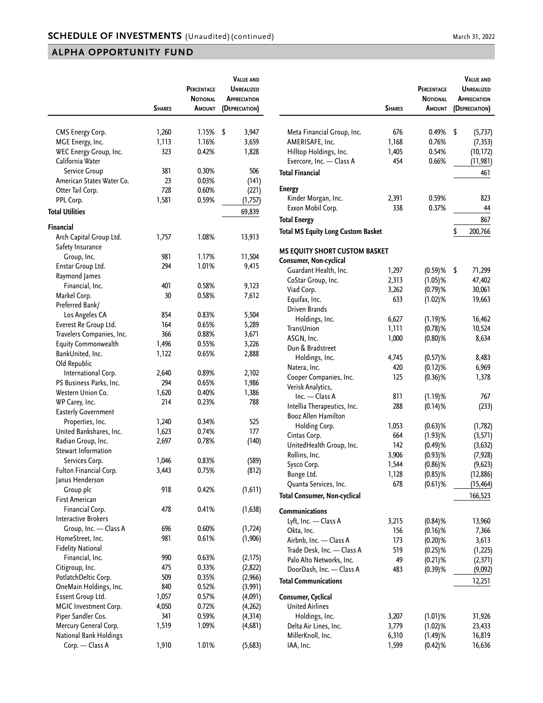|                            |               | PERCENTAGE<br><b>NOTIONAL</b> | <b>VALUE AND</b><br><b>UNREALIZED</b><br><b>APPRECIATION</b> |
|----------------------------|---------------|-------------------------------|--------------------------------------------------------------|
|                            | <b>SHARES</b> | Amount                        | (DEPRECIATION)                                               |
|                            | 1,260         | 1.15%                         | \$<br>3,947                                                  |
| CMS Energy Corp.           |               |                               |                                                              |
| MGE Energy, Inc.           | 1,113         | 1.16%                         | 3,659                                                        |
| WEC Energy Group, Inc.     | 323           | 0.42%                         | 1,828                                                        |
| California Water           |               |                               |                                                              |
| Service Group              | 381           | 0.30%                         | 506                                                          |
| American States Water Co.  | 23            | 0.03%                         | (141)                                                        |
| Otter Tail Corp.           | 728           | 0.60%                         | (221)                                                        |
| PPL Corp.                  | 1,581         | 0.59%                         | (1,757)                                                      |
| <b>Total Utilities</b>     |               |                               | 69,839                                                       |
| <b>Financial</b>           |               |                               |                                                              |
| Arch Capital Group Ltd.    | 1,757         | 1.08%                         | 13,913                                                       |
| Safety Insurance           |               |                               |                                                              |
| Group, Inc.                | 981           | 1.17%                         | 11,504                                                       |
| Enstar Group Ltd.          | 294           | 1.01%                         | 9,415                                                        |
| Raymond James              |               |                               |                                                              |
| Financial, Inc.            | 401           | 0.58%                         | 9,123                                                        |
| Markel Corp.               | 30            | 0.58%                         | 7,612                                                        |
| Preferred Bank/            |               |                               |                                                              |
| Los Angeles CA             | 854           | 0.83%                         | 5,504                                                        |
| Everest Re Group Ltd.      | 164           | 0.65%                         | 5,289                                                        |
| Travelers Companies, Inc.  | 366           | 0.88%                         | 3,671                                                        |
| <b>Equity Commonwealth</b> | 1,496         | 0.55%                         | 3,226                                                        |
| BankUnited, Inc.           | 1,122         | 0.65%                         | 2,888                                                        |
| Old Republic               |               |                               |                                                              |
| International Corp.        | 2,640         | 0.89%                         | 2,102                                                        |
| PS Business Parks, Inc.    | 294           | 0.65%                         | 1,986                                                        |
| Western Union Co.          | 1,620         | 0.40%                         | 1,386                                                        |
| WP Carey, Inc.             | 214           | 0.23%                         | 788                                                          |
| <b>Easterly Government</b> |               |                               |                                                              |
| Properties, Inc.           | 1,240         | 0.34%                         | 525                                                          |
| United Bankshares, Inc.    | 1,623         | 0.74%                         | 177                                                          |
| Radian Group, Inc.         | 2,697         | 0.78%                         | (140)                                                        |
| <b>Stewart Information</b> |               |                               |                                                              |
| Services Corp.             | 1,046         | 0.83%                         | (589)                                                        |
| Fulton Financial Corp.     | 3,443         | 0.75%                         | (812)                                                        |
| Janus Henderson            |               |                               |                                                              |
| Group plc                  | 918           | 0.42%                         | (1, 611)                                                     |
| <b>First American</b>      |               |                               |                                                              |
| Financial Corp.            | 478           | 0.41%                         | (1,638)                                                      |
| <b>Interactive Brokers</b> |               |                               |                                                              |
| Group, Inc. - Class A      | 696           | 0.60%                         | (1, 724)                                                     |
| HomeStreet, Inc.           | 981           | 0.61%                         | (1, 906)                                                     |
| <b>Fidelity National</b>   |               |                               |                                                              |
| Financial, Inc.            | 990           | 0.63%                         | (2,175)                                                      |
| Citigroup, Inc.            | 475           | 0.33%                         | (2, 822)                                                     |
| PotlatchDeltic Corp.       | 509           | 0.35%                         | (2,966)                                                      |
| OneMain Holdings, Inc.     | 840           | 0.52%                         | (3,991)                                                      |
| Essent Group Ltd.          | 1,057         | 0.57%                         | (4,091)                                                      |
| MGIC Investment Corp.      | 4,050         | 0.72%                         | (4, 262)                                                     |
| Piper Sandler Cos.         | 341           | 0.59%                         | (4, 314)                                                     |
| Mercury General Corp.      | 1,519         | 1.09%                         | (4,681)                                                      |
| National Bank Holdings     |               |                               |                                                              |
| Corp. - Class A            | 1,910         | 1.01%                         | (5,683)                                                      |

|                                           | <b>SHARES</b>  | PERCENTAGE<br><b>NOTIONAL</b><br><b>AMOUNT</b> | <b>VALUE AND</b><br><b>UNREALIZED</b><br><b>APPRECIATION</b><br>(DEPRECIATION) |
|-------------------------------------------|----------------|------------------------------------------------|--------------------------------------------------------------------------------|
| Meta Financial Group, Inc.                | 676            | 0.49%                                          | \$<br>(5,737)                                                                  |
| AMERISAFE, Inc.                           | 1,168          | 0.76%                                          | (7, 353)                                                                       |
| Hilltop Holdings, Inc.                    | 1,405          | 0.54%                                          | (10, 172)                                                                      |
| Evercore, Inc. - Class A                  | 454            | 0.66%                                          | (11, 981)                                                                      |
| <b>Total Financial</b>                    |                |                                                | 461                                                                            |
| <b>Energy</b>                             |                |                                                |                                                                                |
| Kinder Morgan, Inc.                       | 2,391          | 0.59%                                          | 823                                                                            |
| Exxon Mobil Corp.                         | 338            | 0.37%                                          | 44                                                                             |
| <b>Total Energy</b>                       |                |                                                | 867                                                                            |
| <b>Total MS Equity Long Custom Basket</b> |                |                                                | \$<br>200,766                                                                  |
| MS EQUITY SHORT CUSTOM BASKET             |                |                                                |                                                                                |
| Consumer, Non-cyclical                    |                |                                                |                                                                                |
| Guardant Health, Inc.                     | 1,297          | $(0.59)$ %                                     | \$<br>71,299                                                                   |
| CoStar Group, Inc.                        | 2,313          | $(1.05)$ %                                     | 47,402                                                                         |
| Viad Corp.                                | 3,262          | $(0.79)$ %                                     | 30,061                                                                         |
| Equifax, Inc.                             | 633            | $(1.02)$ %                                     | 19,663                                                                         |
| Driven Brands                             | 6,627          | $(1.19)$ %                                     |                                                                                |
| Holdings, Inc.<br>TransUnion              |                | $(0.78)$ %                                     | 16,462                                                                         |
| ASGN, Inc.                                | 1,111<br>1,000 |                                                | 10,524                                                                         |
| Dun & Bradstreet                          |                | $(0.80)$ %                                     | 8,634                                                                          |
| Holdings, Inc.                            | 4,745          | $(0.57)$ %                                     | 8,483                                                                          |
| Natera, Inc.                              | 420            | $(0.12)$ %                                     | 6,969                                                                          |
| Cooper Companies, Inc.                    | 125            | $(0.36)$ %                                     | 1,378                                                                          |
| Verisk Analytics,                         |                |                                                |                                                                                |
| Inc. - Class A                            | 811            | $(1.19)$ %                                     | 767                                                                            |
| Intellia Therapeutics, Inc.               | 288            | $(0.14)$ %                                     | (233)                                                                          |
| <b>Booz Allen Hamilton</b>                |                |                                                |                                                                                |
| Holding Corp.                             | 1,053          | $(0.63)$ %                                     | (1, 782)                                                                       |
| Cintas Corp.                              | 664            | $(1.93)$ %                                     | (3,571)                                                                        |
| UnitedHealth Group, Inc.                  | 142            | $(0.49)$ %                                     | (3, 632)                                                                       |
| Rollins, Inc.                             | 3,906          | $(0.93)$ %                                     | (7, 928)                                                                       |
| Sysco Corp.                               | 1,544          | $(0.86)$ %                                     | (9,623)                                                                        |
| Bunge Ltd.                                | 1,128          | $(0.85)$ %                                     | (12,886)                                                                       |
| Quanta Services, Inc.                     | 678            | $(0.61)$ %                                     | (15, 464)                                                                      |
| Total Consumer, Non-cyclical              |                |                                                | 166,523                                                                        |
| Communications                            |                |                                                |                                                                                |
| Lyft, Inc. - Class A                      | 3,215          | $(0.84)$ %                                     | 13,960                                                                         |
| Okta, Inc.                                | 156            | $(0.16)$ %                                     | 7,366                                                                          |
| Airbnb, Inc. — Class A                    | 173            | $(0.20)$ %                                     | 3,613                                                                          |
| Trade Desk, Inc. - Class A                | 519            | $(0.25)$ %                                     | (1,225)                                                                        |
| Palo Alto Networks, Inc.                  | 49             | $(0.21)$ %                                     | (2,371)                                                                        |
| DoorDash, Inc. - Class A                  | 483            | $(0.39)$ %                                     | (9,092)                                                                        |
| <b>Total Communications</b>               |                |                                                | 12,251                                                                         |
| Consumer, Cyclical                        |                |                                                |                                                                                |
| <b>United Airlines</b>                    |                |                                                |                                                                                |
| Holdings, Inc.                            | 3,207          | $(1.01)$ %                                     | 31,926                                                                         |
| Delta Air Lines, Inc.                     | 3,779          | $(1.02)$ %                                     | 23,433                                                                         |
| MillerKnoll, Inc.                         | 6,310          | $(1.49)$ %                                     | 16,819                                                                         |
| IAA, Inc.                                 | 1,599          | $(0.42)$ %                                     | 16,636                                                                         |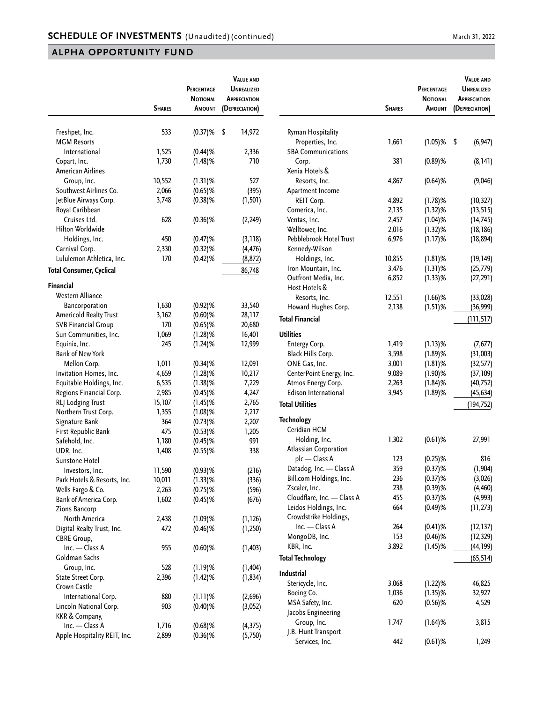|                                                  |               | PERCENTAGE<br><b>NOTIONAL</b> | <b>VALUE AND</b><br>UNREALIZED<br><b>APPRECIATION</b> |
|--------------------------------------------------|---------------|-------------------------------|-------------------------------------------------------|
|                                                  | <b>SHARES</b> | Amount                        | (DEPRECIATION)                                        |
|                                                  |               |                               |                                                       |
| Freshpet, Inc.                                   | 533           | $(0.37)$ %                    | \$<br>14,972                                          |
| <b>MGM Resorts</b>                               |               |                               |                                                       |
| International                                    | 1,525         | $(0.44)$ %                    | 2,336                                                 |
| Copart, Inc.                                     | 1,730         | $(1.48)$ %                    | 710                                                   |
| American Airlines                                |               |                               |                                                       |
| Group, Inc.                                      | 10,552        | $(1.31)$ %                    | 527                                                   |
| Southwest Airlines Co.                           | 2,066         | $(0.65)$ %                    | (395)                                                 |
| JetBlue Airways Corp.                            | 3,748         | $(0.38)$ %                    | (1, 501)                                              |
| Royal Caribbean                                  |               |                               |                                                       |
| Cruises Ltd.                                     | 628           | $(0.36)$ %                    | (2, 249)                                              |
| Hilton Worldwide                                 |               |                               |                                                       |
| Holdings, Inc.                                   | 450           | $(0.47)$ %                    | (3, 118)                                              |
| Carnival Corp.                                   | 2,330         | $(0.32)$ %                    | (4, 476)                                              |
| Lululemon Athletica, Inc.                        | 170           | $(0.42)$ %                    | (8, 872)                                              |
| <b>Total Consumer, Cyclical</b>                  |               |                               | 86,748                                                |
| <b>Financial</b>                                 |               |                               |                                                       |
| <b>Western Alliance</b>                          |               |                               |                                                       |
| Bancorporation                                   | 1,630         | $(0.92)$ %                    | 33,540                                                |
| <b>Americold Realty Trust</b>                    | 3,162         | $(0.60)$ %                    | 28,117                                                |
| <b>SVB Financial Group</b>                       | 170           | $(0.65)$ %                    | 20,680                                                |
| Sun Communities, Inc.                            | 1,069         | $(1.28)$ %                    | 16,401                                                |
| Equinix, Inc.                                    | 245           | $(1.24)$ %                    | 12,999                                                |
| <b>Bank of New York</b>                          |               |                               |                                                       |
| Mellon Corp.                                     | 1,011         | $(0.34)$ %                    | 12,091                                                |
| Invitation Homes, Inc.                           | 4,659         | $(1.28)$ %                    | 10,217                                                |
| Equitable Holdings, Inc.                         | 6,535         | $(1.38)$ %                    | 7,229                                                 |
| Regions Financial Corp.                          | 2,985         | $(0.45)$ %                    | 4,247                                                 |
| RLJ Lodging Trust                                | 15,107        | $(1.45)$ %                    | 2,765                                                 |
| Northern Trust Corp.                             | 1,355         | $(1.08)$ %                    | 2,217                                                 |
| Signature Bank                                   | 364           | $(0.73)$ %                    | 2,207                                                 |
| First Republic Bank                              | 475           | $(0.53)$ %                    | 1,205                                                 |
| Safehold, Inc.                                   | 1,180         | $(0.45)$ %                    | 991                                                   |
| UDR, Inc.                                        | 1,408         | $(0.55)$ %                    | 338                                                   |
| Sunstone Hotel                                   |               |                               |                                                       |
| Investors, Inc.                                  | 11,590        |                               |                                                       |
|                                                  | 10,011        | $(0.93)$ %                    | (216)                                                 |
| Park Hotels & Resorts, Inc.<br>Wells Fargo & Co. | 2,263         | $(1.33)$ %                    | (336)                                                 |
|                                                  |               | $(0.75)$ %                    | (596)                                                 |
| Bank of America Corp.                            | 1,602         | $(0.45)$ %                    | (676)                                                 |
| Zions Bancorp                                    |               |                               |                                                       |
| North America                                    | 2,438         | $(1.09)$ %                    | (1, 126)                                              |
| Digital Realty Trust, Inc.                       | 472           | $(0.46)$ %                    | (1,250)                                               |
| <b>CBRE Group,</b>                               |               |                               |                                                       |
| Inc. - Class A                                   | 955           | $(0.60)$ %                    | (1, 403)                                              |
| Goldman Sachs                                    |               |                               |                                                       |
| Group, Inc.                                      | 528           | (1.19)%                       | (1, 404)                                              |
| State Street Corp.                               | 2,396         | (1.42)%                       | (1, 834)                                              |
| Crown Castle                                     |               |                               |                                                       |
| International Corp.                              | 880           | $(1.11)$ %                    | (2,696)                                               |
| Lincoln National Corp.                           | 903           | $(0.40)$ %                    | (3,052)                                               |
| KKR & Company,                                   |               |                               |                                                       |
| Inc. - Class A                                   | 1,716         | $(0.68)$ %                    | (4, 375)                                              |
| Apple Hospitality REIT, Inc.                     | 2,899         | $(0.36)$ %                    | (5,750)                                               |

|                                      | <b>SHARES</b> | PERCENTAGE<br><b>NOTIONAL</b><br>AMOUNT | <b>VALUE AND</b><br><b>UNREALIZED</b><br><b>APPRECIATION</b><br>(DEPRECIATION) |
|--------------------------------------|---------------|-----------------------------------------|--------------------------------------------------------------------------------|
| Ryman Hospitality                    |               |                                         |                                                                                |
| Properties, Inc.                     | 1,661         | $(1.05)$ %                              | \$<br>(6, 947)                                                                 |
| <b>SBA Communications</b>            |               |                                         |                                                                                |
| Corp.                                | 381           | $(0.89)$ %                              | (8, 141)                                                                       |
| Xenia Hotels &                       |               |                                         |                                                                                |
| Resorts, Inc.                        | 4,867         | $(0.64)$ %                              | (9,046)                                                                        |
| Apartment Income                     |               |                                         |                                                                                |
| REIT Corp.                           | 4,892         | $(1.78)$ %                              | (10, 327)                                                                      |
| Comerica, Inc.                       | 2,135         | $(1.32)$ %                              | (13, 515)                                                                      |
| Ventas, Inc.                         | 2,457         | $(1.04)$ %                              | (14, 745)                                                                      |
| Welltower, Inc.                      | 2,016         | $(1.32)$ %                              | (18, 186)                                                                      |
| Pebblebrook Hotel Trust              | 6,976         | $(1.17)$ %                              | (18, 894)                                                                      |
| Kennedy-Wilson                       |               |                                         |                                                                                |
| Holdings, Inc.                       | 10,855        | $(1.81)$ %                              | (19, 149)                                                                      |
| Iron Mountain, Inc.                  | 3,476         | $(1.31)$ %                              | (25, 779)                                                                      |
| Outfront Media, Inc.                 | 6,852         | $(1.33)$ %                              | (27, 291)                                                                      |
| Host Hotels &                        |               |                                         |                                                                                |
| Resorts, Inc.                        | 12,551        | $(1.66)$ %                              | (33, 028)                                                                      |
| Howard Hughes Corp.                  | 2,138         | $(1.51)$ %                              | (36,999)                                                                       |
|                                      |               |                                         |                                                                                |
| <b>Total Financial</b>               |               |                                         | (111, 517)                                                                     |
| <b>Utilities</b>                     |               |                                         |                                                                                |
| Entergy Corp.                        | 1,419         | $(1.13)$ %                              | (7, 677)                                                                       |
| Black Hills Corp.                    | 3,598         | $(1.89)$ %                              | (31,003)                                                                       |
| ONE Gas, Inc.                        | 3,001         | $(1.81)$ %                              | (32, 577)                                                                      |
| CenterPoint Energy, Inc.             | 9,089         | $(1.90)$ %                              | (37, 109)                                                                      |
| Atmos Energy Corp.                   | 2,263         | $(1.84)$ %                              | (40, 752)                                                                      |
| <b>Edison International</b>          | 3,945         | $(1.89)$ %                              | (45, 634)                                                                      |
| <b>Total Utilities</b>               |               |                                         | (194, 752)                                                                     |
| <b>Technology</b>                    |               |                                         |                                                                                |
| Ceridian HCM                         |               |                                         |                                                                                |
| Holding, Inc.                        | 1,302         | $(0.61)$ %                              | 27,991                                                                         |
| Atlassian Corporation                |               |                                         |                                                                                |
| plc - Class A                        | 123           | $(0.25)$ %                              | 816                                                                            |
| Datadog, Inc. - Class A              | 359           | $(0.37)$ %                              | (1, 904)                                                                       |
| Bill.com Holdings, Inc.              | 236           | $(0.37)$ %                              | (3,026)                                                                        |
| Zscaler, Inc.                        | 238           | $(0.39)$ %                              | (4, 460)                                                                       |
| Cloudflare, Inc. - Class A           | 455           |                                         |                                                                                |
| Leidos Holdings, Inc.                | 664           | $(0.37)$ %                              | (4,993)                                                                        |
| Crowdstrike Holdings,                |               | $(0.49)$ %                              | (11, 273)                                                                      |
| Inc. - Class A                       | 264           | $(0.41)$ %                              |                                                                                |
|                                      | 153           |                                         | (12, 137)<br>(12, 329)                                                         |
| MongoDB, Inc.                        |               | $(0.46)$ %                              |                                                                                |
| KBR, Inc.<br><b>Total Technology</b> | 3,892         | $(1.45)$ %                              | (44, 199)                                                                      |
|                                      |               |                                         | (65, 514)                                                                      |
| Industrial                           |               |                                         |                                                                                |
| Stericycle, Inc.                     | 3,068         | $(1.22)$ %                              | 46,825                                                                         |
| Boeing Co.                           | 1,036         | $(1.35)$ %                              | 32,927                                                                         |
| MSA Safety, Inc.                     | 620           | $(0.56)$ %                              | 4,529                                                                          |
| Jacobs Engineering                   |               |                                         |                                                                                |
| Group, Inc.                          | 1,747         | $(1.64)$ %                              | 3,815                                                                          |
| J.B. Hunt Transport                  |               |                                         |                                                                                |
| Services, Inc.                       | 442           | $(0.61)$ %                              | 1,249                                                                          |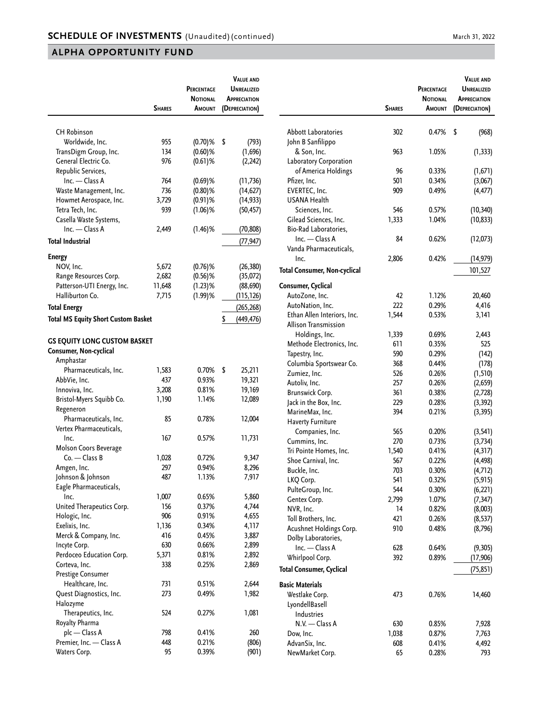|                                            | <b>SHARES</b> | PERCENTAGE<br><b>NOTIONAL</b><br><b>AMOUNT</b> | <b>VALUE AND</b><br><b>UNREALIZED</b><br><b>APPRECIATION</b><br>(DEPRECIATION) |
|--------------------------------------------|---------------|------------------------------------------------|--------------------------------------------------------------------------------|
|                                            |               |                                                |                                                                                |
| <b>CH Robinson</b>                         |               |                                                |                                                                                |
| Worldwide, Inc.                            | 955           | $(0.70)$ %                                     | \$<br>(793)                                                                    |
| TransDigm Group, Inc.                      | 134           | $(0.60)$ %                                     | (1,696)                                                                        |
| General Electric Co.                       | 976           | $(0.61)$ %                                     | (2, 242)                                                                       |
| Republic Services,                         |               |                                                |                                                                                |
| Inc. - Class A                             | 764           | $(0.69)$ %                                     | (11, 736)                                                                      |
| Waste Management, Inc.                     | 736           | $(0.80)$ %                                     | (14, 627)                                                                      |
| Howmet Aerospace, Inc.                     | 3,729         | $(0.91)$ %                                     | (14, 933)                                                                      |
| Tetra Tech, Inc.                           | 939           | $(1.06)$ %                                     | (50, 457)                                                                      |
| Casella Waste Systems,                     |               |                                                |                                                                                |
| Inc. - Class A                             | 2,449         | $(1.46)$ %                                     | (70, 808)                                                                      |
| <b>Total Industrial</b>                    |               |                                                | (77, 947)                                                                      |
|                                            |               |                                                |                                                                                |
| <b>Energy</b>                              |               |                                                |                                                                                |
| NOV, Inc.                                  | 5,672         | $(0.76)$ %                                     | (26, 380)                                                                      |
| Range Resources Corp.                      | 2,682         | $(0.56)$ %                                     | (35,072)                                                                       |
| Patterson-UTI Energy, Inc.                 | 11,648        | $(1.23)$ %                                     | (88, 690)                                                                      |
| Halliburton Co.                            | 7,715         | $(1.99)$ %                                     | (115,126)                                                                      |
| <b>Total Energy</b>                        |               |                                                | (265, 268)                                                                     |
| <b>Total MS Equity Short Custom Basket</b> |               |                                                | \$<br>(449, 476)                                                               |
|                                            |               |                                                |                                                                                |
| <b>GS EQUITY LONG CUSTOM BASKET</b>        |               |                                                |                                                                                |
| Consumer, Non-cyclical                     |               |                                                |                                                                                |
| Amphastar                                  |               |                                                |                                                                                |
| Pharmaceuticals, Inc.                      | 1,583         | 0.70%                                          | \$<br>25,211                                                                   |
| AbbVie, Inc.                               | 437           | 0.93%                                          | 19,321                                                                         |
| Innoviva, Inc.                             | 3,208         | 0.81%                                          | 19,169                                                                         |
| Bristol-Myers Squibb Co.                   | 1,190         | 1.14%                                          | 12,089                                                                         |
| Regeneron                                  |               |                                                |                                                                                |
| Pharmaceuticals, Inc.                      | 85            | 0.78%                                          | 12,004                                                                         |
| Vertex Pharmaceuticals,                    |               |                                                |                                                                                |
| Inc.                                       | 167           | 0.57%                                          | 11,731                                                                         |
| Molson Coors Beverage                      |               |                                                |                                                                                |
| $Co.$ - Class B                            | 1,028         | 0.72%                                          | 9,347                                                                          |
| Amgen, Inc.                                | 297           | 0.94%                                          | 8,296                                                                          |
| Johnson & Johnson                          | 487           | 1.13%                                          | 7,917                                                                          |
| Eagle Pharmaceuticals,                     |               |                                                |                                                                                |
| Inc.                                       | 1,007         | 0.65%                                          | 5,860                                                                          |
| United Therapeutics Corp.                  | 156           | 0.37%                                          | 4,744                                                                          |
| Hologic, Inc.                              | 906           | 0.91%                                          | 4,655                                                                          |
| Exelixis, Inc.                             | 1,136         | 0.34%                                          | 4,117                                                                          |
| Merck & Company, Inc.                      | 416           | 0.45%                                          | 3,887                                                                          |
| Incyte Corp.                               | 630           | 0.66%                                          | 2,899                                                                          |
| Perdoceo Education Corp.                   | 5,371         | 0.81%                                          | 2,892                                                                          |
| Corteva, Inc.                              | 338           | 0.25%                                          | 2,869                                                                          |
| Prestige Consumer                          |               |                                                |                                                                                |
| Healthcare, Inc.                           | 731           | 0.51%                                          | 2,644                                                                          |
| Quest Diagnostics, Inc.                    | 273           | 0.49%                                          | 1,982                                                                          |
| Halozyme                                   |               |                                                |                                                                                |
| Therapeutics, Inc.                         | 524           | 0.27%                                          | 1,081                                                                          |
| Royalty Pharma                             |               |                                                |                                                                                |
| plc - Class A                              | 798           | 0.41%                                          | 260                                                                            |
| Premier, Inc. - Class A                    | 448           | 0.21%                                          | (806)                                                                          |
| Waters Corp.                               | 95            | 0.39%                                          | (901)                                                                          |

| <b>Abbott Laboratories</b><br>\$<br>302<br>0.47%<br>(968)<br>John B Sanfilippo<br>& Son, Inc.<br>963<br>1.05%<br>(1, 333)<br>Laboratory Corporation<br>of America Holdings<br>96<br>0.33%<br>(1,671)<br>501<br>Pfizer, Inc.<br>0.34%<br>(3,067)<br>0.49%<br>EVERTEC. Inc.<br>909<br>(4, 477)<br>USANA Health<br>546<br>Sciences, Inc.<br>0.57%<br>(10, 340)<br>Gilead Sciences, Inc.<br>1,333<br>1.04%<br>(10, 833)<br>Bio-Rad Laboratories,<br>Inc. - Class A<br>84<br>0.62%<br>(12,073)<br>Vanda Pharmaceuticals,<br>2,806<br>0.42%<br>Inc.<br>(14, 979)<br><b>Total Consumer, Non-cyclical</b><br>101,527<br>Consumer, Cyclical<br>AutoZone, Inc.<br>42<br>1.12%<br>20,460<br>222<br>0.29%<br>4,416<br>AutoNation, Inc.<br>Ethan Allen Interiors, Inc.<br>0.53%<br>1,544<br>3,141<br>Allison Transmission<br>Holdings, Inc.<br>1,339<br>0.69%<br>2,443<br>Methode Electronics, Inc.<br>525<br>611<br>0.35%<br>590<br>Tapestry, Inc.<br>0.29%<br>(142)<br>Columbia Sportswear Co.<br>368<br>0.44%<br>(178)<br>Zumiez, Inc.<br>526<br>0.26%<br>(1, 510)<br>Autoliv, Inc.<br>257<br>0.26%<br>(2,659)<br>Brunswick Corp.<br>0.38%<br>361<br>(2,728)<br>0.28%<br>Jack in the Box, Inc.<br>229<br>(3, 392)<br>MarineMax, Inc.<br>394<br>0.21%<br>(3, 395)<br><b>Haverty Furniture</b><br>Companies, Inc.<br>565<br>0.20%<br>(3, 541)<br>Cummins, Inc.<br>270<br>0.73%<br>(3,734)<br>1,540<br>Tri Pointe Homes, Inc.<br>0.41%<br>(4, 317)<br>0.22%<br>Shoe Carnival, Inc.<br>567<br>(4, 498)<br>Buckle, Inc.<br>703<br>0.30%<br>(4, 712)<br>LKQ Corp.<br>541<br>0.32%<br>(5, 915)<br>PulteGroup, Inc.<br>544<br>0.30%<br>(6, 221)<br>Gentex Corp.<br>2,799<br>1.07%<br>(7, 347)<br>NVR, Inc.<br>14<br>0.82%<br>(8,003)<br>Toll Brothers, Inc.<br>421<br>0.26%<br>(8, 537)<br>Acushnet Holdings Corp.<br>910<br>0.48%<br>(8,796)<br>Dolby Laboratories,<br>Inc. - Class A<br>628<br>0.64%<br>(9,305)<br>Whirlpool Corp.<br>0.89%<br>392<br>(17, 906)<br><b>Total Consumer, Cyclical</b><br>(75, 851)<br><b>Basic Materials</b><br>Westlake Corp.<br>473<br>0.76%<br>14,460<br>LyondellBasell<br>Industries<br>N.V. - Class A<br>630<br>0.85%<br>7,928<br>Dow, Inc.<br>1,038<br>0.87%<br>7,763<br>AdvanSix, Inc.<br>608<br>0.41%<br>4,492<br>NewMarket Corp.<br>65<br>0.28%<br>793 | <b>SHARES</b> | <b>PERCENTAGE</b><br><b>NOTIONAL</b><br>Amount | <b>VALUE AND</b><br><b>UNREALIZED</b><br><b>APPRECIATION</b><br>(DEPRECIATION) |
|------------------------------------------------------------------------------------------------------------------------------------------------------------------------------------------------------------------------------------------------------------------------------------------------------------------------------------------------------------------------------------------------------------------------------------------------------------------------------------------------------------------------------------------------------------------------------------------------------------------------------------------------------------------------------------------------------------------------------------------------------------------------------------------------------------------------------------------------------------------------------------------------------------------------------------------------------------------------------------------------------------------------------------------------------------------------------------------------------------------------------------------------------------------------------------------------------------------------------------------------------------------------------------------------------------------------------------------------------------------------------------------------------------------------------------------------------------------------------------------------------------------------------------------------------------------------------------------------------------------------------------------------------------------------------------------------------------------------------------------------------------------------------------------------------------------------------------------------------------------------------------------------------------------------------------------------------------------------------------------------------------------------------------------------------------------------------------------------------------------------------------------------------------------------------------------------------------------------------------------------------------------------------|---------------|------------------------------------------------|--------------------------------------------------------------------------------|
|                                                                                                                                                                                                                                                                                                                                                                                                                                                                                                                                                                                                                                                                                                                                                                                                                                                                                                                                                                                                                                                                                                                                                                                                                                                                                                                                                                                                                                                                                                                                                                                                                                                                                                                                                                                                                                                                                                                                                                                                                                                                                                                                                                                                                                                                              |               |                                                |                                                                                |
|                                                                                                                                                                                                                                                                                                                                                                                                                                                                                                                                                                                                                                                                                                                                                                                                                                                                                                                                                                                                                                                                                                                                                                                                                                                                                                                                                                                                                                                                                                                                                                                                                                                                                                                                                                                                                                                                                                                                                                                                                                                                                                                                                                                                                                                                              |               |                                                |                                                                                |
|                                                                                                                                                                                                                                                                                                                                                                                                                                                                                                                                                                                                                                                                                                                                                                                                                                                                                                                                                                                                                                                                                                                                                                                                                                                                                                                                                                                                                                                                                                                                                                                                                                                                                                                                                                                                                                                                                                                                                                                                                                                                                                                                                                                                                                                                              |               |                                                |                                                                                |
|                                                                                                                                                                                                                                                                                                                                                                                                                                                                                                                                                                                                                                                                                                                                                                                                                                                                                                                                                                                                                                                                                                                                                                                                                                                                                                                                                                                                                                                                                                                                                                                                                                                                                                                                                                                                                                                                                                                                                                                                                                                                                                                                                                                                                                                                              |               |                                                |                                                                                |
|                                                                                                                                                                                                                                                                                                                                                                                                                                                                                                                                                                                                                                                                                                                                                                                                                                                                                                                                                                                                                                                                                                                                                                                                                                                                                                                                                                                                                                                                                                                                                                                                                                                                                                                                                                                                                                                                                                                                                                                                                                                                                                                                                                                                                                                                              |               |                                                |                                                                                |
|                                                                                                                                                                                                                                                                                                                                                                                                                                                                                                                                                                                                                                                                                                                                                                                                                                                                                                                                                                                                                                                                                                                                                                                                                                                                                                                                                                                                                                                                                                                                                                                                                                                                                                                                                                                                                                                                                                                                                                                                                                                                                                                                                                                                                                                                              |               |                                                |                                                                                |
|                                                                                                                                                                                                                                                                                                                                                                                                                                                                                                                                                                                                                                                                                                                                                                                                                                                                                                                                                                                                                                                                                                                                                                                                                                                                                                                                                                                                                                                                                                                                                                                                                                                                                                                                                                                                                                                                                                                                                                                                                                                                                                                                                                                                                                                                              |               |                                                |                                                                                |
|                                                                                                                                                                                                                                                                                                                                                                                                                                                                                                                                                                                                                                                                                                                                                                                                                                                                                                                                                                                                                                                                                                                                                                                                                                                                                                                                                                                                                                                                                                                                                                                                                                                                                                                                                                                                                                                                                                                                                                                                                                                                                                                                                                                                                                                                              |               |                                                |                                                                                |
|                                                                                                                                                                                                                                                                                                                                                                                                                                                                                                                                                                                                                                                                                                                                                                                                                                                                                                                                                                                                                                                                                                                                                                                                                                                                                                                                                                                                                                                                                                                                                                                                                                                                                                                                                                                                                                                                                                                                                                                                                                                                                                                                                                                                                                                                              |               |                                                |                                                                                |
|                                                                                                                                                                                                                                                                                                                                                                                                                                                                                                                                                                                                                                                                                                                                                                                                                                                                                                                                                                                                                                                                                                                                                                                                                                                                                                                                                                                                                                                                                                                                                                                                                                                                                                                                                                                                                                                                                                                                                                                                                                                                                                                                                                                                                                                                              |               |                                                |                                                                                |
|                                                                                                                                                                                                                                                                                                                                                                                                                                                                                                                                                                                                                                                                                                                                                                                                                                                                                                                                                                                                                                                                                                                                                                                                                                                                                                                                                                                                                                                                                                                                                                                                                                                                                                                                                                                                                                                                                                                                                                                                                                                                                                                                                                                                                                                                              |               |                                                |                                                                                |
|                                                                                                                                                                                                                                                                                                                                                                                                                                                                                                                                                                                                                                                                                                                                                                                                                                                                                                                                                                                                                                                                                                                                                                                                                                                                                                                                                                                                                                                                                                                                                                                                                                                                                                                                                                                                                                                                                                                                                                                                                                                                                                                                                                                                                                                                              |               |                                                |                                                                                |
|                                                                                                                                                                                                                                                                                                                                                                                                                                                                                                                                                                                                                                                                                                                                                                                                                                                                                                                                                                                                                                                                                                                                                                                                                                                                                                                                                                                                                                                                                                                                                                                                                                                                                                                                                                                                                                                                                                                                                                                                                                                                                                                                                                                                                                                                              |               |                                                |                                                                                |
|                                                                                                                                                                                                                                                                                                                                                                                                                                                                                                                                                                                                                                                                                                                                                                                                                                                                                                                                                                                                                                                                                                                                                                                                                                                                                                                                                                                                                                                                                                                                                                                                                                                                                                                                                                                                                                                                                                                                                                                                                                                                                                                                                                                                                                                                              |               |                                                |                                                                                |
|                                                                                                                                                                                                                                                                                                                                                                                                                                                                                                                                                                                                                                                                                                                                                                                                                                                                                                                                                                                                                                                                                                                                                                                                                                                                                                                                                                                                                                                                                                                                                                                                                                                                                                                                                                                                                                                                                                                                                                                                                                                                                                                                                                                                                                                                              |               |                                                |                                                                                |
|                                                                                                                                                                                                                                                                                                                                                                                                                                                                                                                                                                                                                                                                                                                                                                                                                                                                                                                                                                                                                                                                                                                                                                                                                                                                                                                                                                                                                                                                                                                                                                                                                                                                                                                                                                                                                                                                                                                                                                                                                                                                                                                                                                                                                                                                              |               |                                                |                                                                                |
|                                                                                                                                                                                                                                                                                                                                                                                                                                                                                                                                                                                                                                                                                                                                                                                                                                                                                                                                                                                                                                                                                                                                                                                                                                                                                                                                                                                                                                                                                                                                                                                                                                                                                                                                                                                                                                                                                                                                                                                                                                                                                                                                                                                                                                                                              |               |                                                |                                                                                |
|                                                                                                                                                                                                                                                                                                                                                                                                                                                                                                                                                                                                                                                                                                                                                                                                                                                                                                                                                                                                                                                                                                                                                                                                                                                                                                                                                                                                                                                                                                                                                                                                                                                                                                                                                                                                                                                                                                                                                                                                                                                                                                                                                                                                                                                                              |               |                                                |                                                                                |
|                                                                                                                                                                                                                                                                                                                                                                                                                                                                                                                                                                                                                                                                                                                                                                                                                                                                                                                                                                                                                                                                                                                                                                                                                                                                                                                                                                                                                                                                                                                                                                                                                                                                                                                                                                                                                                                                                                                                                                                                                                                                                                                                                                                                                                                                              |               |                                                |                                                                                |
|                                                                                                                                                                                                                                                                                                                                                                                                                                                                                                                                                                                                                                                                                                                                                                                                                                                                                                                                                                                                                                                                                                                                                                                                                                                                                                                                                                                                                                                                                                                                                                                                                                                                                                                                                                                                                                                                                                                                                                                                                                                                                                                                                                                                                                                                              |               |                                                |                                                                                |
|                                                                                                                                                                                                                                                                                                                                                                                                                                                                                                                                                                                                                                                                                                                                                                                                                                                                                                                                                                                                                                                                                                                                                                                                                                                                                                                                                                                                                                                                                                                                                                                                                                                                                                                                                                                                                                                                                                                                                                                                                                                                                                                                                                                                                                                                              |               |                                                |                                                                                |
|                                                                                                                                                                                                                                                                                                                                                                                                                                                                                                                                                                                                                                                                                                                                                                                                                                                                                                                                                                                                                                                                                                                                                                                                                                                                                                                                                                                                                                                                                                                                                                                                                                                                                                                                                                                                                                                                                                                                                                                                                                                                                                                                                                                                                                                                              |               |                                                |                                                                                |
|                                                                                                                                                                                                                                                                                                                                                                                                                                                                                                                                                                                                                                                                                                                                                                                                                                                                                                                                                                                                                                                                                                                                                                                                                                                                                                                                                                                                                                                                                                                                                                                                                                                                                                                                                                                                                                                                                                                                                                                                                                                                                                                                                                                                                                                                              |               |                                                |                                                                                |
|                                                                                                                                                                                                                                                                                                                                                                                                                                                                                                                                                                                                                                                                                                                                                                                                                                                                                                                                                                                                                                                                                                                                                                                                                                                                                                                                                                                                                                                                                                                                                                                                                                                                                                                                                                                                                                                                                                                                                                                                                                                                                                                                                                                                                                                                              |               |                                                |                                                                                |
|                                                                                                                                                                                                                                                                                                                                                                                                                                                                                                                                                                                                                                                                                                                                                                                                                                                                                                                                                                                                                                                                                                                                                                                                                                                                                                                                                                                                                                                                                                                                                                                                                                                                                                                                                                                                                                                                                                                                                                                                                                                                                                                                                                                                                                                                              |               |                                                |                                                                                |
|                                                                                                                                                                                                                                                                                                                                                                                                                                                                                                                                                                                                                                                                                                                                                                                                                                                                                                                                                                                                                                                                                                                                                                                                                                                                                                                                                                                                                                                                                                                                                                                                                                                                                                                                                                                                                                                                                                                                                                                                                                                                                                                                                                                                                                                                              |               |                                                |                                                                                |
|                                                                                                                                                                                                                                                                                                                                                                                                                                                                                                                                                                                                                                                                                                                                                                                                                                                                                                                                                                                                                                                                                                                                                                                                                                                                                                                                                                                                                                                                                                                                                                                                                                                                                                                                                                                                                                                                                                                                                                                                                                                                                                                                                                                                                                                                              |               |                                                |                                                                                |
|                                                                                                                                                                                                                                                                                                                                                                                                                                                                                                                                                                                                                                                                                                                                                                                                                                                                                                                                                                                                                                                                                                                                                                                                                                                                                                                                                                                                                                                                                                                                                                                                                                                                                                                                                                                                                                                                                                                                                                                                                                                                                                                                                                                                                                                                              |               |                                                |                                                                                |
|                                                                                                                                                                                                                                                                                                                                                                                                                                                                                                                                                                                                                                                                                                                                                                                                                                                                                                                                                                                                                                                                                                                                                                                                                                                                                                                                                                                                                                                                                                                                                                                                                                                                                                                                                                                                                                                                                                                                                                                                                                                                                                                                                                                                                                                                              |               |                                                |                                                                                |
|                                                                                                                                                                                                                                                                                                                                                                                                                                                                                                                                                                                                                                                                                                                                                                                                                                                                                                                                                                                                                                                                                                                                                                                                                                                                                                                                                                                                                                                                                                                                                                                                                                                                                                                                                                                                                                                                                                                                                                                                                                                                                                                                                                                                                                                                              |               |                                                |                                                                                |
|                                                                                                                                                                                                                                                                                                                                                                                                                                                                                                                                                                                                                                                                                                                                                                                                                                                                                                                                                                                                                                                                                                                                                                                                                                                                                                                                                                                                                                                                                                                                                                                                                                                                                                                                                                                                                                                                                                                                                                                                                                                                                                                                                                                                                                                                              |               |                                                |                                                                                |
|                                                                                                                                                                                                                                                                                                                                                                                                                                                                                                                                                                                                                                                                                                                                                                                                                                                                                                                                                                                                                                                                                                                                                                                                                                                                                                                                                                                                                                                                                                                                                                                                                                                                                                                                                                                                                                                                                                                                                                                                                                                                                                                                                                                                                                                                              |               |                                                |                                                                                |
|                                                                                                                                                                                                                                                                                                                                                                                                                                                                                                                                                                                                                                                                                                                                                                                                                                                                                                                                                                                                                                                                                                                                                                                                                                                                                                                                                                                                                                                                                                                                                                                                                                                                                                                                                                                                                                                                                                                                                                                                                                                                                                                                                                                                                                                                              |               |                                                |                                                                                |
|                                                                                                                                                                                                                                                                                                                                                                                                                                                                                                                                                                                                                                                                                                                                                                                                                                                                                                                                                                                                                                                                                                                                                                                                                                                                                                                                                                                                                                                                                                                                                                                                                                                                                                                                                                                                                                                                                                                                                                                                                                                                                                                                                                                                                                                                              |               |                                                |                                                                                |
|                                                                                                                                                                                                                                                                                                                                                                                                                                                                                                                                                                                                                                                                                                                                                                                                                                                                                                                                                                                                                                                                                                                                                                                                                                                                                                                                                                                                                                                                                                                                                                                                                                                                                                                                                                                                                                                                                                                                                                                                                                                                                                                                                                                                                                                                              |               |                                                |                                                                                |
|                                                                                                                                                                                                                                                                                                                                                                                                                                                                                                                                                                                                                                                                                                                                                                                                                                                                                                                                                                                                                                                                                                                                                                                                                                                                                                                                                                                                                                                                                                                                                                                                                                                                                                                                                                                                                                                                                                                                                                                                                                                                                                                                                                                                                                                                              |               |                                                |                                                                                |
|                                                                                                                                                                                                                                                                                                                                                                                                                                                                                                                                                                                                                                                                                                                                                                                                                                                                                                                                                                                                                                                                                                                                                                                                                                                                                                                                                                                                                                                                                                                                                                                                                                                                                                                                                                                                                                                                                                                                                                                                                                                                                                                                                                                                                                                                              |               |                                                |                                                                                |
|                                                                                                                                                                                                                                                                                                                                                                                                                                                                                                                                                                                                                                                                                                                                                                                                                                                                                                                                                                                                                                                                                                                                                                                                                                                                                                                                                                                                                                                                                                                                                                                                                                                                                                                                                                                                                                                                                                                                                                                                                                                                                                                                                                                                                                                                              |               |                                                |                                                                                |
|                                                                                                                                                                                                                                                                                                                                                                                                                                                                                                                                                                                                                                                                                                                                                                                                                                                                                                                                                                                                                                                                                                                                                                                                                                                                                                                                                                                                                                                                                                                                                                                                                                                                                                                                                                                                                                                                                                                                                                                                                                                                                                                                                                                                                                                                              |               |                                                |                                                                                |
|                                                                                                                                                                                                                                                                                                                                                                                                                                                                                                                                                                                                                                                                                                                                                                                                                                                                                                                                                                                                                                                                                                                                                                                                                                                                                                                                                                                                                                                                                                                                                                                                                                                                                                                                                                                                                                                                                                                                                                                                                                                                                                                                                                                                                                                                              |               |                                                |                                                                                |
|                                                                                                                                                                                                                                                                                                                                                                                                                                                                                                                                                                                                                                                                                                                                                                                                                                                                                                                                                                                                                                                                                                                                                                                                                                                                                                                                                                                                                                                                                                                                                                                                                                                                                                                                                                                                                                                                                                                                                                                                                                                                                                                                                                                                                                                                              |               |                                                |                                                                                |
|                                                                                                                                                                                                                                                                                                                                                                                                                                                                                                                                                                                                                                                                                                                                                                                                                                                                                                                                                                                                                                                                                                                                                                                                                                                                                                                                                                                                                                                                                                                                                                                                                                                                                                                                                                                                                                                                                                                                                                                                                                                                                                                                                                                                                                                                              |               |                                                |                                                                                |
|                                                                                                                                                                                                                                                                                                                                                                                                                                                                                                                                                                                                                                                                                                                                                                                                                                                                                                                                                                                                                                                                                                                                                                                                                                                                                                                                                                                                                                                                                                                                                                                                                                                                                                                                                                                                                                                                                                                                                                                                                                                                                                                                                                                                                                                                              |               |                                                |                                                                                |
|                                                                                                                                                                                                                                                                                                                                                                                                                                                                                                                                                                                                                                                                                                                                                                                                                                                                                                                                                                                                                                                                                                                                                                                                                                                                                                                                                                                                                                                                                                                                                                                                                                                                                                                                                                                                                                                                                                                                                                                                                                                                                                                                                                                                                                                                              |               |                                                |                                                                                |
|                                                                                                                                                                                                                                                                                                                                                                                                                                                                                                                                                                                                                                                                                                                                                                                                                                                                                                                                                                                                                                                                                                                                                                                                                                                                                                                                                                                                                                                                                                                                                                                                                                                                                                                                                                                                                                                                                                                                                                                                                                                                                                                                                                                                                                                                              |               |                                                |                                                                                |
|                                                                                                                                                                                                                                                                                                                                                                                                                                                                                                                                                                                                                                                                                                                                                                                                                                                                                                                                                                                                                                                                                                                                                                                                                                                                                                                                                                                                                                                                                                                                                                                                                                                                                                                                                                                                                                                                                                                                                                                                                                                                                                                                                                                                                                                                              |               |                                                |                                                                                |
|                                                                                                                                                                                                                                                                                                                                                                                                                                                                                                                                                                                                                                                                                                                                                                                                                                                                                                                                                                                                                                                                                                                                                                                                                                                                                                                                                                                                                                                                                                                                                                                                                                                                                                                                                                                                                                                                                                                                                                                                                                                                                                                                                                                                                                                                              |               |                                                |                                                                                |
|                                                                                                                                                                                                                                                                                                                                                                                                                                                                                                                                                                                                                                                                                                                                                                                                                                                                                                                                                                                                                                                                                                                                                                                                                                                                                                                                                                                                                                                                                                                                                                                                                                                                                                                                                                                                                                                                                                                                                                                                                                                                                                                                                                                                                                                                              |               |                                                |                                                                                |
|                                                                                                                                                                                                                                                                                                                                                                                                                                                                                                                                                                                                                                                                                                                                                                                                                                                                                                                                                                                                                                                                                                                                                                                                                                                                                                                                                                                                                                                                                                                                                                                                                                                                                                                                                                                                                                                                                                                                                                                                                                                                                                                                                                                                                                                                              |               |                                                |                                                                                |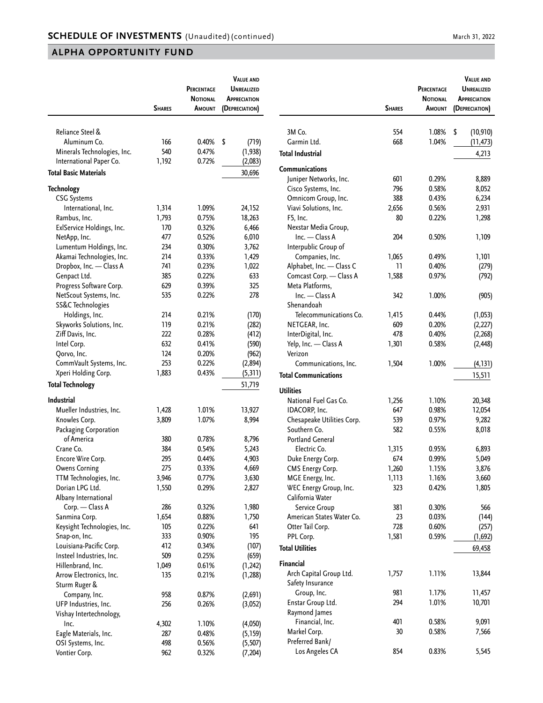|                                          |               | PERCENTAGE<br>NOTIONAL | <b>VALUE AND</b><br><b>UNREALIZED</b><br><b>APPRECIATION</b> |
|------------------------------------------|---------------|------------------------|--------------------------------------------------------------|
|                                          | <b>SHARES</b> | AMOUNT                 | (DEPRECIATION)                                               |
|                                          |               |                        |                                                              |
| Reliance Steel &                         |               |                        |                                                              |
| Aluminum Co.                             | 166           | 0.40%                  | \$<br>(719)                                                  |
| Minerals Technologies, Inc.              | 540           | 0.47%                  | (1, 938)                                                     |
| International Paper Co.                  | 1,192         | 0.72%                  | (2,083)                                                      |
| <b>Total Basic Materials</b>             |               |                        | 30,696                                                       |
| <b>Technology</b>                        |               |                        |                                                              |
| <b>CSG Systems</b>                       |               |                        |                                                              |
| International, Inc.                      | 1,314         | 1.09%                  | 24,152                                                       |
| Rambus, Inc.                             | 1,793         | 0.75%                  | 18,263                                                       |
| ExlService Holdings, Inc.                | 170           | 0.32%                  | 6,466                                                        |
| NetApp, Inc.                             | 477           | 0.52%                  | 6,010                                                        |
| Lumentum Holdings, Inc.                  | 234           | 0.30%                  | 3,762                                                        |
| Akamai Technologies, Inc.                | 214           | 0.33%                  | 1,429                                                        |
| Dropbox, Inc. - Class A                  | 741           | 0.23%                  | 1,022                                                        |
| Genpact Ltd.                             | 385           | 0.22%                  | 633                                                          |
| Progress Software Corp.                  | 629           | 0.39%                  | 325                                                          |
| NetScout Systems, Inc.                   | 535           | 0.22%                  | 278                                                          |
| SS&C Technologies                        |               |                        |                                                              |
| Holdings, Inc.                           | 214           | 0.21%                  | (170)                                                        |
| Skyworks Solutions, Inc.                 | 119           | 0.21%                  | (282)                                                        |
| Ziff Davis, Inc.                         | 222           | 0.28%                  | (412)                                                        |
| Intel Corp.                              | 632           | 0.41%                  | (590)                                                        |
| Qorvo, Inc.                              | 124           | 0.20%                  | (962)                                                        |
| CommVault Systems, Inc.                  | 253           | 0.22%                  | (2,894)                                                      |
| Xperi Holding Corp.                      | 1,883         | 0.43%                  | (5, 311)                                                     |
| <b>Total Technology</b>                  |               |                        | 51,719                                                       |
| Industrial                               |               |                        |                                                              |
| Mueller Industries, Inc.                 | 1,428         | 1.01%                  | 13,927                                                       |
| Knowles Corp.                            | 3,809         | 1.07%                  | 8,994                                                        |
| Packaging Corporation                    |               |                        |                                                              |
| of America                               | 380           | 0.78%                  | 8,796                                                        |
| Crane Co.                                | 384           | 0.54%                  | 5,243                                                        |
| Encore Wire Corp.                        | 295           | 0.44%                  | 4,903                                                        |
| <b>Owens Corning</b>                     | 275           | 0.33%                  | 4,669                                                        |
| TTM Technologies, Inc.                   | 3,946         | 0.77%                  | 3,630                                                        |
| Dorian LPG Ltd.                          | 1,550         | 0.29%                  | 2,827                                                        |
| Albany International                     |               |                        |                                                              |
| Corp. — Class A                          | 286           | 0.32%                  | 1,980                                                        |
| Sanmina Corp.                            | 1,654         | 0.88%                  | 1,750                                                        |
| Keysight Technologies, Inc.              | 105           | 0.22%                  | 641                                                          |
| Snap-on, Inc.                            | 333           | 0.90%                  | 195                                                          |
| Louisiana-Pacific Corp.                  | 412           | 0.34%                  | (107)                                                        |
| Insteel Industries, Inc.                 | 509           | 0.25%                  | (659)                                                        |
| Hillenbrand, Inc.                        | 1,049         | 0.61%                  | (1, 242)                                                     |
| Arrow Electronics, Inc.<br>Sturm Ruger & | 135           | 0.21%                  | (1, 288)                                                     |
| Company, Inc.                            | 958           | 0.87%                  | (2,691)                                                      |
| UFP Industries, Inc.                     | 256           | 0.26%                  | (3,052)                                                      |
| Vishay Intertechnology,                  |               |                        |                                                              |
| Inc.                                     | 4,302         | 1.10%                  | (4,050)                                                      |
| Eagle Materials, Inc.                    | 287           | 0.48%                  | (5, 159)                                                     |
| OSI Systems, Inc.                        | 498           | 0.56%                  | (5,507)                                                      |
| Vontier Corp.                            | 962           | 0.32%                  | (7, 204)                                                     |

|                                            | <b>SHARES</b> | PERCENTAGE<br><b>NOTIONAL</b><br><b>AMOUNT</b> | <b>VALUE AND</b><br><b>UNREALIZED</b><br><b>APPRECIATION</b><br>(DEPRECIATION) |
|--------------------------------------------|---------------|------------------------------------------------|--------------------------------------------------------------------------------|
| 3M Co.                                     | 554           | 1.08%                                          | \$<br>(10, 910)                                                                |
| Garmin Ltd.                                | 668           | 1.04%                                          | (11, 473)                                                                      |
| Total Industrial                           |               |                                                | 4,213                                                                          |
| Communications                             |               |                                                |                                                                                |
| Juniper Networks, Inc.                     | 601           | 0.29%                                          | 8,889                                                                          |
| Cisco Systems, Inc.                        | 796           | 0.58%                                          | 8,052                                                                          |
| Omnicom Group, Inc.                        | 388           | 0.43%                                          | 6,234                                                                          |
| Viavi Solutions, Inc.                      | 2,656         | 0.56%                                          | 2,931                                                                          |
| F5, Inc.                                   | 80            | 0.22%                                          | 1,298                                                                          |
| Nexstar Media Group,                       |               |                                                |                                                                                |
| Inc. - Class A                             | 204           | 0.50%                                          | 1,109                                                                          |
| Interpublic Group of                       |               |                                                |                                                                                |
| Companies, Inc.                            | 1,065         | 0.49%                                          | 1,101                                                                          |
| Alphabet, Inc. - Class C                   | 11            | 0.40%                                          | (279)                                                                          |
| Comcast Corp. - Class A                    | 1,588         | 0.97%                                          | (792)                                                                          |
| Meta Platforms,                            |               |                                                |                                                                                |
| Inc. - Class A                             | 342           | 1.00%                                          | (905)                                                                          |
| Shenandoah                                 |               |                                                |                                                                                |
| Telecommunications Co.                     | 1,415         | 0.44%                                          | (1,053)                                                                        |
| NETGEAR, Inc.                              | 609           | 0.20%                                          | (2,227)                                                                        |
| InterDigital, Inc.                         | 478           | 0.40%                                          | (2,268)                                                                        |
| Yelp, Inc. - Class A<br>Verizon            | 1,301         | 0.58%                                          | (2, 448)                                                                       |
| Communications, Inc.                       | 1,504         | 1.00%                                          | (4, 131)                                                                       |
| <b>Total Communications</b>                |               |                                                | 15,511                                                                         |
| <b>Utilities</b>                           |               |                                                |                                                                                |
| National Fuel Gas Co.                      |               | 1.10%                                          |                                                                                |
| IDACORP, Inc.                              | 1,256<br>647  | 0.98%                                          | 20,348<br>12,054                                                               |
|                                            | 539           | 0.97%                                          | 9,282                                                                          |
| Chesapeake Utilities Corp.<br>Southern Co. |               |                                                |                                                                                |
| <b>Portland General</b>                    | 582           | 0.55%                                          | 8,018                                                                          |
| Electric Co.                               | 1,315         |                                                |                                                                                |
|                                            | 674           | 0.95%<br>0.99%                                 | 6,893                                                                          |
| Duke Energy Corp.                          | 1,260         | 1.15%                                          | 5,049                                                                          |
| CMS Energy Corp.<br>MGE Energy, Inc.       |               |                                                | 3,8/b                                                                          |
| WEC Energy Group, Inc.                     | 1,113<br>323  | 1.16%<br>0.42%                                 | 3,660                                                                          |
| California Water                           |               |                                                | 1,805                                                                          |
| Service Group                              | 381           | 0.30%                                          | 566                                                                            |
| American States Water Co.                  | 23            | 0.03%                                          | (144)                                                                          |
| Otter Tail Corp.                           | 728           | 0.60%                                          | (257)                                                                          |
| PPL Corp.                                  | 1,581         | 0.59%                                          | (1,692)                                                                        |
| <b>Total Utilities</b>                     |               |                                                | 69,458                                                                         |
| Financial                                  |               |                                                |                                                                                |
| Arch Capital Group Ltd.                    | 1,757         | 1.11%                                          | 13,844                                                                         |
| Safety Insurance                           |               |                                                |                                                                                |
| Group, Inc.                                | 981           | 1.17%                                          | 11,457                                                                         |
| Enstar Group Ltd.                          | 294           | 1.01%                                          | 10,701                                                                         |
| Raymond James                              |               |                                                |                                                                                |
| Financial, Inc.                            | 401           | 0.58%                                          | 9,091                                                                          |
| Markel Corp.                               | 30            | 0.58%                                          | 7,566                                                                          |
| Preferred Bank/                            |               |                                                |                                                                                |
| Los Angeles CA                             | 854           | 0.83%                                          | 5,545                                                                          |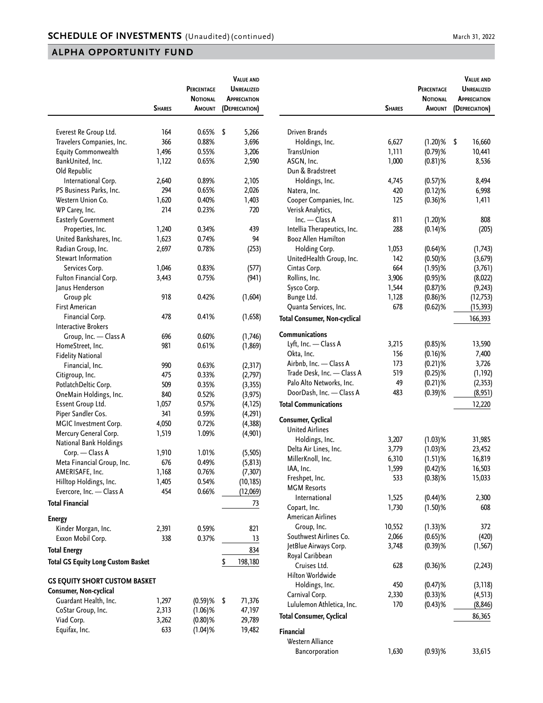|                                               | <b>SHARES</b> | PERCENTAGE<br><b>NOTIONAL</b><br><b>AMOUNT</b> | <b>VALUE AND</b><br><b>UNREALIZED</b><br><b>APPRECIATION</b><br>(DEPRECIATION) |                                     | <b>SHARES</b> | PERCENTAGE<br><b>NOTIONAL</b><br><b>AMOUNT</b> | <b>VALUE AND</b><br><b>UNREALIZED</b><br><b>APPRECIATION</b><br>(DEPRECIATION) |
|-----------------------------------------------|---------------|------------------------------------------------|--------------------------------------------------------------------------------|-------------------------------------|---------------|------------------------------------------------|--------------------------------------------------------------------------------|
| Everest Re Group Ltd.                         | 164           | 0.65%                                          | \$<br>5,266                                                                    | Driven Brands                       |               |                                                |                                                                                |
| Travelers Companies, Inc.                     | 366           | 0.88%                                          | 3,696                                                                          | Holdings, Inc.                      | 6,627         | $(1.20)$ %                                     | \$<br>16,660                                                                   |
| <b>Equity Commonwealth</b>                    | 1,496         | 0.55%                                          | 3,206                                                                          | TransUnion                          | 1,111         | $(0.79)$ %                                     | 10,441                                                                         |
| BankUnited, Inc.                              | 1,122         | 0.65%                                          | 2,590                                                                          | ASGN, Inc.                          | 1,000         | $(0.81)$ %                                     | 8,536                                                                          |
| Old Republic                                  |               |                                                |                                                                                | Dun & Bradstreet                    |               |                                                |                                                                                |
| International Corp.                           | 2,640         | 0.89%                                          | 2,105                                                                          | Holdings, Inc.                      | 4,745         | $(0.57)$ %                                     | 8,494                                                                          |
| PS Business Parks, Inc.                       | 294           | 0.65%                                          | 2,026                                                                          | Natera, Inc.                        | 420           | $(0.12)$ %                                     | 6,998                                                                          |
| Western Union Co.                             | 1,620         | 0.40%                                          | 1,403                                                                          | Cooper Companies, Inc.              | 125           | $(0.36)$ %                                     | 1,411                                                                          |
| WP Carey, Inc.                                | 214           | 0.23%                                          | 720                                                                            | Verisk Analytics,                   |               |                                                |                                                                                |
| <b>Easterly Government</b>                    |               |                                                |                                                                                | $Inc. - Class A$                    | 811           | $(1.20)$ %                                     | 808                                                                            |
| Properties, Inc.                              | 1,240         | 0.34%                                          | 439                                                                            | Intellia Therapeutics, Inc.         | 288           | $(0.14)$ %                                     | (205)                                                                          |
| United Bankshares, Inc.                       | 1,623         | 0.74%                                          | 94                                                                             | <b>Booz Allen Hamilton</b>          |               |                                                |                                                                                |
| Radian Group, Inc.                            | 2,697         | 0.78%                                          | (253)                                                                          | Holding Corp.                       | 1,053         | $(0.64)$ %                                     | (1,743)                                                                        |
| Stewart Information                           |               |                                                |                                                                                | UnitedHealth Group, Inc.            | 142           | $(0.50)$ %                                     | (3,679)                                                                        |
| Services Corp.                                | 1,046         | 0.83%                                          | (577)                                                                          | Cintas Corp.                        | 664           | $(1.95)$ %                                     | (3,761)                                                                        |
| Fulton Financial Corp.                        | 3,443         | 0.75%                                          | (941)                                                                          | Rollins, Inc.                       | 3,906         | $(0.95)$ %                                     | (8,022)                                                                        |
| Janus Henderson                               |               |                                                |                                                                                | Sysco Corp.                         | 1,544         | $(0.87)$ %                                     | (9, 243)                                                                       |
| Group plc                                     | 918           | 0.42%                                          | (1,604)                                                                        | Bunge Ltd.                          | 1,128         | $(0.86)$ %                                     | (12, 753)                                                                      |
| <b>First American</b>                         |               |                                                |                                                                                | Quanta Services, Inc.               | 678           | $(0.62)$ %                                     | (15, 393)                                                                      |
| Financial Corp.<br><b>Interactive Brokers</b> | 478           | 0.41%                                          | (1,658)                                                                        | <b>Total Consumer, Non-cyclical</b> |               |                                                | 166,393                                                                        |
| Group, Inc. - Class A                         | 696           | 0.60%                                          | (1,746)                                                                        | <b>Communications</b>               |               |                                                |                                                                                |
| HomeStreet, Inc.                              | 981           | 0.61%                                          | (1, 869)                                                                       | Lyft, Inc. - Class A                | 3,215         | $(0.85)$ %                                     | 13,590                                                                         |
| <b>Fidelity National</b>                      |               |                                                |                                                                                | Okta, Inc.                          | 156           | $(0.16)$ %                                     | 7,400                                                                          |
| Financial, Inc.                               | 990           | 0.63%                                          | (2, 317)                                                                       | Airbnb, Inc. - Class A              | 173           | $(0.21)$ %                                     | 3,726                                                                          |
| Citigroup, Inc.                               | 475           | 0.33%                                          | (2,797)                                                                        | Trade Desk, Inc. - Class A          | 519           | $(0.25)$ %                                     | (1, 192)                                                                       |
| PotlatchDeltic Corp.                          | 509           | 0.35%                                          | (3, 355)                                                                       | Palo Alto Networks, Inc.            | 49            | $(0.21)$ %                                     | (2, 353)                                                                       |
| OneMain Holdings, Inc.                        | 840           | 0.52%                                          | (3, 975)                                                                       | DoorDash, Inc. - Class A            | 483           | $(0.39)$ %                                     | (8,951)                                                                        |
| Essent Group Ltd.                             | 1,057         | 0.57%                                          | (4, 125)                                                                       | <b>Total Communications</b>         |               |                                                | 12,220                                                                         |
| Piper Sandler Cos.                            | 341           | 0.59%                                          | (4, 291)                                                                       |                                     |               |                                                |                                                                                |
| MGIC Investment Corp.                         | 4,050         | 0.72%                                          | (4, 388)                                                                       | Consumer, Cyclical                  |               |                                                |                                                                                |
| Mercury General Corp.                         | 1,519         | 1.09%                                          | (4,901)                                                                        | <b>United Airlines</b>              |               |                                                |                                                                                |
| <b>National Bank Holdings</b>                 |               |                                                |                                                                                | Holdings, Inc.                      | 3,207         | $(1.03)$ %                                     | 31,985                                                                         |
| Corp. - Class A                               | 1,910         | 1.01%                                          | (5, 505)                                                                       | Delta Air Lines, Inc.               | 3,779         | $(1.03)$ %                                     | 23,452                                                                         |
| Meta Financial Group, Inc.                    | 676           | 0.49%                                          | (5, 813)                                                                       | MillerKnoll, Inc.                   | 6,310         | $(1.51)$ %                                     | 16,819                                                                         |
| AMERISAFE, Inc.                               | 1,168         | 0.76%                                          | (7, 307)                                                                       | IAA, Inc.                           | 1,599         | $(0.42)$ %                                     | 16,503                                                                         |
| Hilltop Holdings, Inc.                        | 1,405         | 0.54%                                          | (10, 185)                                                                      | Freshpet, Inc.                      | 533           | $(0.38)$ %                                     | 15,033                                                                         |
| Evercore, Inc. - Class A                      | 454           | 0.66%                                          | (12,069)                                                                       | <b>MGM Resorts</b>                  |               |                                                |                                                                                |
| <b>Total Financial</b>                        |               |                                                | 73                                                                             | International                       | 1,525         | $(0.44)$ %                                     | 2,300                                                                          |
|                                               |               |                                                |                                                                                | Copart, Inc.                        | 1,730         | $(1.50)$ %                                     | 608                                                                            |
| Energy                                        |               |                                                |                                                                                | <b>American Airlines</b>            |               |                                                |                                                                                |
| Kinder Morgan, Inc.                           | 2,391         | 0.59%                                          | 821                                                                            | Group, Inc.                         | 10,552        | $(1.33)$ %                                     | 372                                                                            |
| Exxon Mobil Corp.                             | 338           | 0.37%                                          | 13                                                                             | Southwest Airlines Co.              | 2,066         | $(0.65)$ %                                     | (420)                                                                          |
| Total Energy                                  |               |                                                | 834                                                                            | JetBlue Airways Corp.               | 3,748         | $(0.39)$ %                                     | (1, 567)                                                                       |
| <b>Total GS Equity Long Custom Basket</b>     |               |                                                | \$<br>198,180                                                                  | Royal Caribbean                     |               |                                                |                                                                                |
|                                               |               |                                                |                                                                                | Cruises Ltd.<br>Hilton Worldwide    | 628           | $(0.36)$ %                                     | (2, 243)                                                                       |
| <b>GS EQUITY SHORT CUSTOM BASKET</b>          |               |                                                |                                                                                | Holdings, Inc.                      | 450           | $(0.47)$ %                                     | (3, 118)                                                                       |
| Consumer, Non-cyclical                        |               |                                                |                                                                                | Carnival Corp.                      | 2,330         | $(0.33)$ %                                     | (4, 513)                                                                       |
| Guardant Health, Inc.                         | 1,297         | $(0.59)$ %                                     | \$<br>71,376                                                                   | Lululemon Athletica, Inc.           | 170           | $(0.43)$ %                                     | (8, 846)                                                                       |
| CoStar Group, Inc.                            | 2,313         | $(1.06)$ %                                     | 47,197                                                                         | <b>Total Consumer, Cyclical</b>     |               |                                                | 86,365                                                                         |
| Viad Corp.                                    | 3,262         | $(0.80)$ %                                     | 29,789                                                                         |                                     |               |                                                |                                                                                |
| Equifax, Inc.                                 | 633           | $(1.04)$ %                                     | 19,482                                                                         | <b>Financial</b>                    |               |                                                |                                                                                |
|                                               |               |                                                |                                                                                | Western Alliance                    |               |                                                |                                                                                |
|                                               |               |                                                |                                                                                | Bancorporation                      | 1,630         | $(0.93)$ %                                     | 33,615                                                                         |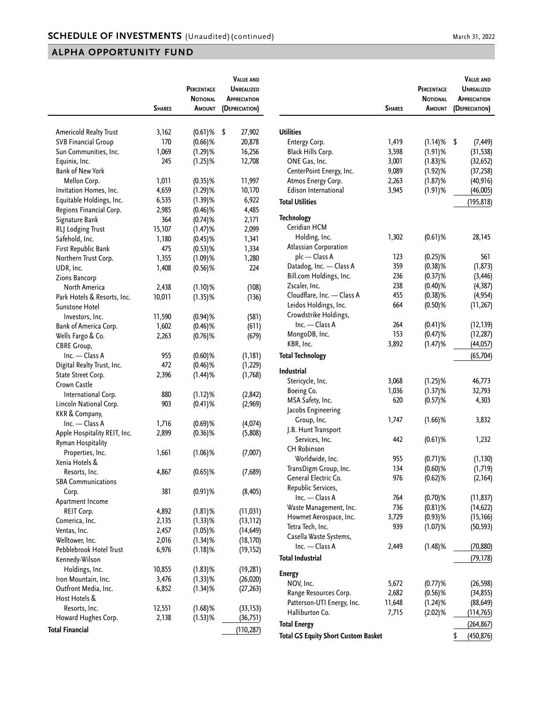|                                       |               | <b>PERCENTAGE</b><br>NOTIONAL | <b>VALUE AND</b><br><b>UNREALIZED</b><br><b>APPRECIATION</b> |
|---------------------------------------|---------------|-------------------------------|--------------------------------------------------------------|
|                                       | <b>SHARES</b> | AMOUNT                        | (DEPRECIATION)                                               |
|                                       |               |                               |                                                              |
| Americold Realty Trust                | 3,162         | $(0.61)$ %                    | \$<br>27,902                                                 |
| <b>SVB Financial Group</b>            | 170           | $(0.66)$ %                    | 20,878                                                       |
| Sun Communities, Inc.                 | 1,069         | $(1.29)$ %                    | 16,256                                                       |
| Equinix, Inc.                         | 245           | $(1.25)$ %                    | 12,708                                                       |
| <b>Bank of New York</b>               |               |                               |                                                              |
| Mellon Corp.                          | 1,011         | $(0.35)$ %                    | 11,997                                                       |
| Invitation Homes, Inc.                | 4,659         | $(1.29)$ %                    | 10,170                                                       |
| Equitable Holdings, Inc.              | 6,535         | $(1.39)$ %                    | 6,922                                                        |
| Regions Financial Corp.               | 2,985         | $(0.46)$ %                    | 4,485                                                        |
| Signature Bank                        | 364           | $(0.74)$ %                    | 2,171                                                        |
| RLJ Lodging Trust                     | 15,107        | $(1.47)$ %                    | 2,099                                                        |
| Safehold, Inc.                        | 1,180         | $(0.45)$ %                    | 1,341                                                        |
| First Republic Bank                   | 475           | $(0.53)$ %                    | 1,334                                                        |
| Northern Trust Corp.                  | 1,355         | $(1.09)$ %                    | 1,280                                                        |
| UDR, Inc.                             | 1,408         | $(0.56)$ %                    | 224                                                          |
| Zions Bancorp                         |               |                               |                                                              |
| North America                         | 2,438         | $(1.10)$ %                    | (108)                                                        |
| Park Hotels & Resorts, Inc.           | 10,011        | $(1.35)$ %                    | (136)                                                        |
| Sunstone Hotel                        |               |                               |                                                              |
| Investors, Inc.                       | 11,590        | $(0.94)$ %                    | (581)                                                        |
| Bank of America Corp.                 | 1,602         | $(0.46)$ %                    | (611)                                                        |
| Wells Fargo & Co.                     | 2,263         | $(0.76)$ %                    | (679)                                                        |
| <b>CBRE Group,</b>                    |               |                               |                                                              |
| Inc. - Class A                        | 955           | $(0.60)$ %                    | (1, 181)                                                     |
| Digital Realty Trust, Inc.            | 472           | $(0.46)$ %                    | (1, 229)                                                     |
| State Street Corp.                    | 2,396         | $(1.44)$ %                    | (1,768)                                                      |
| Crown Castle                          |               |                               |                                                              |
| International Corp.                   | 880           | (1.12)%                       | (2, 842)                                                     |
| Lincoln National Corp.                | 903           | $(0.41)$ %                    | (2,969)                                                      |
| KKR & Company,                        |               |                               |                                                              |
| Inc. - Class A                        | 1,716         | $(0.69)$ %                    | (4,074)                                                      |
| Apple Hospitality REIT, Inc.          | 2,899         | $(0.36)$ %                    | (5,808)                                                      |
| Ryman Hospitality                     |               |                               |                                                              |
| Properties, Inc.                      | 1,661         | $(1.06)$ %                    | (7,007)                                                      |
| Xenia Hotels &                        |               |                               |                                                              |
| Resorts, Inc.                         | 4,867         | $(0.65)$ %                    | (7,689)                                                      |
| <b>SBA Communications</b>             |               |                               |                                                              |
| Corp.                                 | 381           | $(0.91)$ %                    | (8, 405)                                                     |
| Apartment Income                      |               |                               |                                                              |
| REIT Corp.                            | 4,892         | $(1.81)$ %                    | (11, 031)                                                    |
| Comerica, Inc.                        | 2,135         | $(1.33)$ %                    | (13, 112)                                                    |
| Ventas, Inc.                          | 2,457         | $(1.05)$ %                    | (14, 649)                                                    |
| Welltower, Inc.                       | 2,016         | $(1.34)$ %                    | (18, 170)                                                    |
| Pebblebrook Hotel Trust               | 6,976         | $(1.18)$ %                    | (19, 152)                                                    |
| Kennedy-Wilson                        |               |                               |                                                              |
| Holdings, Inc.                        | 10,855        | $(1.83)$ %                    | (19, 281)                                                    |
| Iron Mountain, Inc.                   | 3,476         | $(1.33)$ %                    | (26, 020)                                                    |
| Outfront Media, Inc.<br>Host Hotels & | 6,852         | $(1.34)$ %                    | (27, 263)                                                    |
| Resorts, Inc.                         | 12,551        | $(1.68)$ %                    |                                                              |
| Howard Hughes Corp.                   | 2,138         | $(1.53)$ %                    | (33, 153)<br>(36, 751)                                       |
|                                       |               |                               |                                                              |
| <b>Total Financial</b>                |               |                               | (110, 287)                                                   |

|                                            | <b>SHARES</b> | PERCENTAGE<br><b>NOTIONAL</b><br><b>A</b> MOUNT | <b>VALUE AND</b><br>UNREALIZED<br><b>APPRECIATION</b><br>(DEPRECIATION) |
|--------------------------------------------|---------------|-------------------------------------------------|-------------------------------------------------------------------------|
| <b>Utilities</b>                           |               |                                                 |                                                                         |
| Entergy Corp.                              | 1,419         | $(1.14)$ %                                      | \$<br>(7, 449)                                                          |
| Black Hills Corp.                          | 3,598         | $(1.91)$ %                                      | (31, 538)                                                               |
| ONE Gas, Inc.                              | 3,001         |                                                 |                                                                         |
|                                            |               | $(1.83)$ %                                      | (32, 652)                                                               |
| CenterPoint Energy, Inc.                   | 9,089         | $(1.92)$ %                                      | (37, 258)                                                               |
| Atmos Energy Corp.                         | 2,263         | $(1.87)$ %                                      | (40, 916)                                                               |
| <b>Edison International</b>                | 3,945         | $(1.91)$ %                                      | (46,005)                                                                |
| <b>Total Utilities</b>                     |               |                                                 | (195, 818)                                                              |
| <b>Technology</b>                          |               |                                                 |                                                                         |
| Ceridian HCM                               |               |                                                 |                                                                         |
| Holding, Inc.                              | 1,302         | $(0.61)$ %                                      | 28,145                                                                  |
| <b>Atlassian Corporation</b>               |               |                                                 |                                                                         |
| plc - Class A                              | 123           | $(0.25)$ %                                      | 561                                                                     |
| Datadog, Inc. - Class A                    | 359           | $(0.38)$ %                                      | (1, 873)                                                                |
| Bill.com Holdings, Inc.                    | 236           | $(0.37)$ %                                      | (3, 446)                                                                |
| Zscaler, Inc.                              | 238           | $(0.40)$ %                                      | (4, 387)                                                                |
| Cloudflare, Inc. - Class A                 | 455           | $(0.38)$ %                                      | (4, 954)                                                                |
| Leidos Holdings, Inc.                      | 664           | $(0.50)$ %                                      | (11, 267)                                                               |
| Crowdstrike Holdings,                      |               |                                                 |                                                                         |
| Inc. - Class A                             |               |                                                 |                                                                         |
|                                            | 264           | $(0.41)$ %                                      | (12, 139)                                                               |
| MongoDB, Inc.                              | 153           | $(0.47)$ %                                      | (12, 287)                                                               |
| KBR, Inc.                                  | 3,892         | $(1.47)$ %                                      | (44, 057)                                                               |
| <b>Total Technology</b>                    |               |                                                 | (65, 704)                                                               |
| Industrial                                 |               |                                                 |                                                                         |
| Stericycle, Inc.                           | 3,068         | $(1.25)$ %                                      | 46,773                                                                  |
| Boeing Co.                                 | 1,036         | $(1.37)$ %                                      | 32,793                                                                  |
| MSA Safety, Inc.                           | 620           | $(0.57)$ %                                      | 4,303                                                                   |
| Jacobs Engineering                         |               |                                                 |                                                                         |
| Group, Inc.                                | 1,747         | (1.66)%                                         | 3,832                                                                   |
| J.B. Hunt Transport                        |               |                                                 |                                                                         |
| Services, Inc.                             | 442           | $(0.61)$ %                                      | 1,232                                                                   |
| CH Robinson                                |               |                                                 |                                                                         |
| Worldwide, Inc.                            | 955           | $(0.71)$ %                                      | (1, 130)                                                                |
|                                            | 134           |                                                 |                                                                         |
| TransDigm Group, Inc.                      |               | $(0.60)$ %                                      | (1,719)                                                                 |
| General Electric Co.                       | 976           | $(0.62)$ %                                      | (2,164)                                                                 |
| Republic Services,                         |               |                                                 |                                                                         |
| Inc. - Class A                             | 764           | $(0.70)$ %                                      | (11, 837)                                                               |
| Waste Management, Inc.                     | 736           | $(0.81)$ %                                      | (14, 622)                                                               |
| Howmet Aerospace, Inc.                     | 3,729         | $(0.93)$ %                                      | (15, 166)                                                               |
| Tetra Tech, Inc.                           | 939           | $(1.07)$ %                                      | (50, 593)                                                               |
| Casella Waste Systems,                     |               |                                                 |                                                                         |
| Inc. - Class A                             | 2,449         | $(1.48)$ %                                      | (70, 880)                                                               |
| <b>Total Industrial</b>                    |               |                                                 | (79, 178)                                                               |
| <b>Energy</b>                              |               |                                                 |                                                                         |
| NOV, Inc.                                  | 5,672         | $(0.77)$ %                                      | (26, 598)                                                               |
| Range Resources Corp.                      | 2,682         | $(0.56)$ %                                      | (34, 855)                                                               |
| Patterson-UTI Energy, Inc.                 | 11,648        | $(1.24)$ %                                      | (88, 649)                                                               |
| Halliburton Co.                            | 7,715         | $(2.02)$ %                                      | (114, 765)                                                              |
|                                            |               |                                                 |                                                                         |
| Total Energy                               |               |                                                 | (264, 867)                                                              |
| <b>Total GS Equity Short Custom Basket</b> |               |                                                 | \$<br>(450, 876)                                                        |